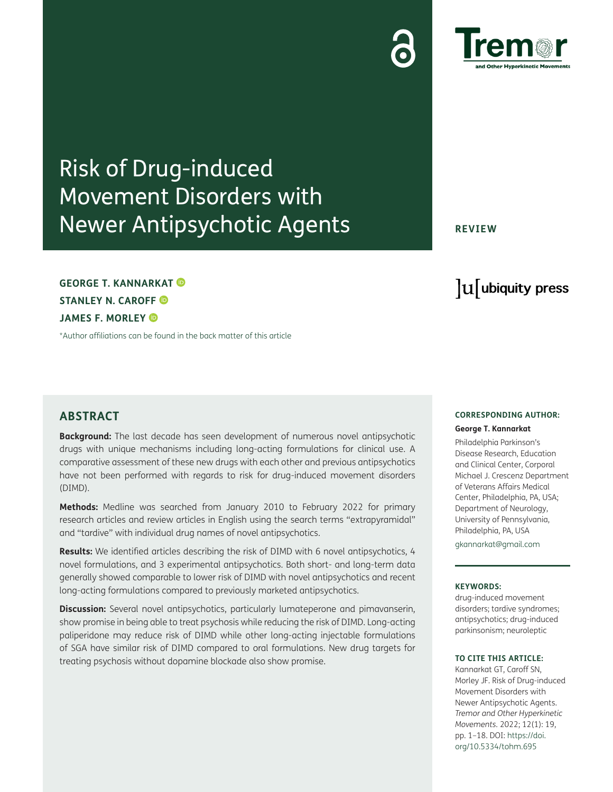# Risk of Drug-induced

### **ABSTRACT**

**GEORGE T. KANNARKAT** 

**STANLEY N. CAROFF JAMES F. MORLEY** 

**Background:** The last decade has seen development of numerous novel antipsychotic drugs with unique mechanisms including long-acting formulations for clinical use. A comparative assessment of these new drugs with each other and previous antipsychotics have not been performed with regards to risk for drug-induced movement disorders (DIMD).

**Methods:** Medline was searched from January 2010 to February 2022 for primary research articles and review articles in English using the search terms "extrapyramidal" and "tardive" with individual drug names of novel antipsychotics.

**Results:** We identified articles describing the risk of DIMD with 6 novel antipsychotics, 4 novel formulations, and 3 experimental antipsychotics. Both short- and long-term data generally showed comparable to lower risk of DIMD with novel antipsychotics and recent long-acting formulations compared to previously marketed antipsychotics.

**Discussion:** Several novel antipsychotics, particularly lumateperone and pimavanserin, show promise in being able to treat psychosis while reducing the risk of DIMD. Long-acting paliperidone may reduce risk of DIMD while other long-acting injectable formulations of SGA have similar risk of DIMD compared to oral formulations. New drug targets for treating psychosis without dopamine blockade also show promise.

#### **CORRESPONDING AUTHOR: George T. Kannarkat**

Philadelphia Parkinson's Disease Research, Education and Clinical Center, Corporal Michael J. Crescenz Department of Veterans Affairs Medical Center, Philadelphia, PA, USA; Department of Neurology, University of Pennsylvania, Philadelphia, PA, USA

[gkannarkat@gmail.com](mailto:gkannarkat@gmail.com)

#### **KEYWORDS:**

drug-induced movement disorders; tardive syndromes; antipsychotics; drug-induced parkinsonism; neuroleptic

#### **TO CITE THIS ARTICLE:**

Kannarkat GT, Caroff SN, Morley JF. Risk of Drug-induced Movement Disorders with Newer Antipsychotic Agents. *Tremor and Other Hyperkinetic Movements.* 2022; 12(1): 19, pp. 1–18. DOI: [https://doi.](https://doi.org/10.5334/tohm.695) [org/10.5334/tohm.695](https://doi.org/10.5334/tohm.695)

## Movement Disorders with Newer Antipsychotic Agents

[\\*Author affiliations can be found in the back matter of this article](#page-10-0)



**REVIEW**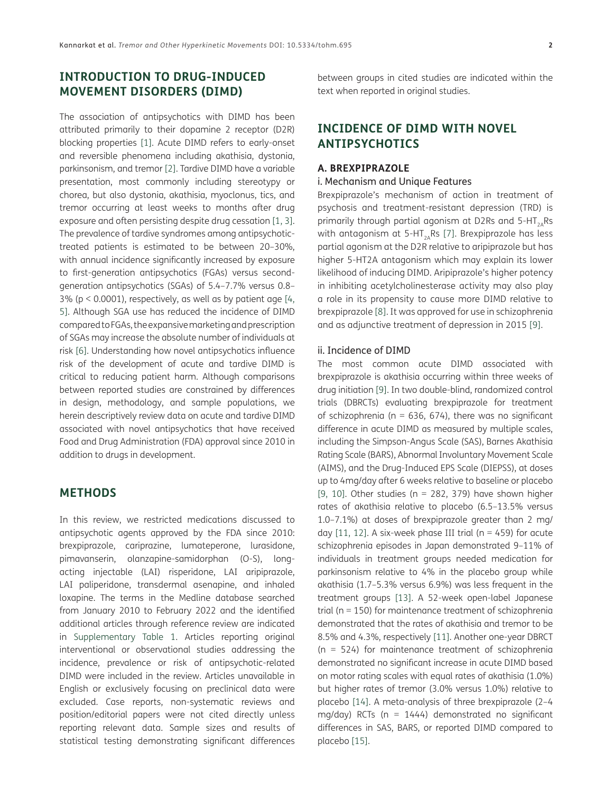#### **INTRODUCTION TO DRUG-INDUCED MOVEMENT DISORDERS (DIMD)**

The association of antipsychotics with DIMD has been attributed primarily to their dopamine 2 receptor (D2R) blocking properties [[1\]](#page-10-1). Acute DIMD refers to early-onset and reversible phenomena including akathisia, dystonia, parkinsonism, and tremor [[2\]](#page-10-2). Tardive DIMD have a variable presentation, most commonly including stereotypy or chorea, but also dystonia, akathisia, myoclonus, tics, and tremor occurring at least weeks to months after drug exposure and often persisting despite drug cessation [[1](#page-10-1), [3\]](#page-10-3). The prevalence of tardive syndromes among antipsychotictreated patients is estimated to be between 20–30%, with annual incidence significantly increased by exposure to first-generation antipsychotics (FGAs) versus secondgeneration antipsychotics (SGAs) of 5.4–7.7% versus 0.8–  $3\%$  (p < 0.0001), respectively, as well as by patient age [\[4](#page-10-4), [5\]](#page-10-5). Although SGA use has reduced the incidence of DIMD compared to FGAs, the expansive marketing and prescription of SGAs may increase the absolute number of individuals at risk [[6\]](#page-10-6). Understanding how novel antipsychotics influence risk of the development of acute and tardive DIMD is critical to reducing patient harm. Although comparisons between reported studies are constrained by differences in design, methodology, and sample populations, we herein descriptively review data on acute and tardive DIMD associated with novel antipsychotics that have received Food and Drug Administration (FDA) approval since 2010 in addition to drugs in development.

#### **METHODS**

In this review, we restricted medications discussed to antipsychotic agents approved by the FDA since 2010: brexpiprazole, cariprazine, lumateperone, lurasidone, pimavanserin, olanzapine-samidorphan (O-S), longacting injectable (LAI) risperidone, LAI aripiprazole, LAI paliperidone, transdermal asenapine, and inhaled loxapine. The terms in the Medline database searched from January 2010 to February 2022 and the identified additional articles through reference review are indicated in [Supplementary Table 1](#page-9-0). Articles reporting original interventional or observational studies addressing the incidence, prevalence or risk of antipsychotic-related DIMD were included in the review. Articles unavailable in English or exclusively focusing on preclinical data were excluded. Case reports, non-systematic reviews and position/editorial papers were not cited directly unless reporting relevant data. Sample sizes and results of statistical testing demonstrating significant differences

between groups in cited studies are indicated within the text when reported in original studies.

#### **INCIDENCE OF DIMD WITH NOVEL ANTIPSYCHOTICS**

#### **A. BREXPIPRAZOLE**

#### i. Mechanism and Unique Features

Brexpiprazole's mechanism of action in treatment of psychosis and treatment-resistant depression (TRD) is primarily through partial agonism at D2Rs and  $5-HT_{2A}Rs$ with antagonism at 5-HT<sub>2A</sub>Rs [[7](#page-10-7)]. Brexpiprazole has less partial agonism at the D2R relative to aripiprazole but has higher 5-HT2A antagonism which may explain its lower likelihood of inducing DIMD. Aripiprazole's higher potency in inhibiting acetylcholinesterase activity may also play a role in its propensity to cause more DIMD relative to brexpiprazole [\[8\]](#page-10-8). It was approved for use in schizophrenia and as adjunctive treatment of depression in 2015 [[9](#page-10-9)].

#### ii. Incidence of DIMD

The most common acute DIMD associated with brexpiprazole is akathisia occurring within three weeks of drug initiation [\[9\]](#page-10-9). In two double-blind, randomized control trials (DBRCTs) evaluating brexpiprazole for treatment of schizophrenia ( $n = 636, 674$ ), there was no significant difference in acute DIMD as measured by multiple scales, including the Simpson-Angus Scale (SAS), Barnes Akathisia Rating Scale (BARS), Abnormal Involuntary Movement Scale (AIMS), and the Drug-Induced EPS Scale (DIEPSS), at doses up to 4mg/day after 6 weeks relative to baseline or placebo [\[9](#page-10-9), [10\]](#page-10-10). Other studies ( $n = 282$ , 379) have shown higher rates of akathisia relative to placebo (6.5–13.5% versus 1.0–7.1%) at doses of brexpiprazole greater than 2 mg/ day  $[11, 12]$  $[11, 12]$  $[11, 12]$  $[11, 12]$  $[11, 12]$ . A six-week phase III trial (n = 459) for acute schizophrenia episodes in Japan demonstrated 9–11% of individuals in treatment groups needed medication for parkinsonism relative to 4% in the placebo group while akathisia (1.7–5.3% versus 6.9%) was less frequent in the treatment groups [[13\]](#page-11-2). A 52-week open-label Japanese trial (n = 150) for maintenance treatment of schizophrenia demonstrated that the rates of akathisia and tremor to be 8.5% and 4.3%, respectively [[11](#page-11-0)]. Another one-year DBRCT (n = 524) for maintenance treatment of schizophrenia demonstrated no significant increase in acute DIMD based on motor rating scales with equal rates of akathisia (1.0%) but higher rates of tremor (3.0% versus 1.0%) relative to placebo [\[14](#page-11-3)]. A meta-analysis of three brexpiprazole (2–4 mg/day) RCTs ( $n = 1444$ ) demonstrated no significant differences in SAS, BARS, or reported DIMD compared to placebo [\[15\]](#page-11-4).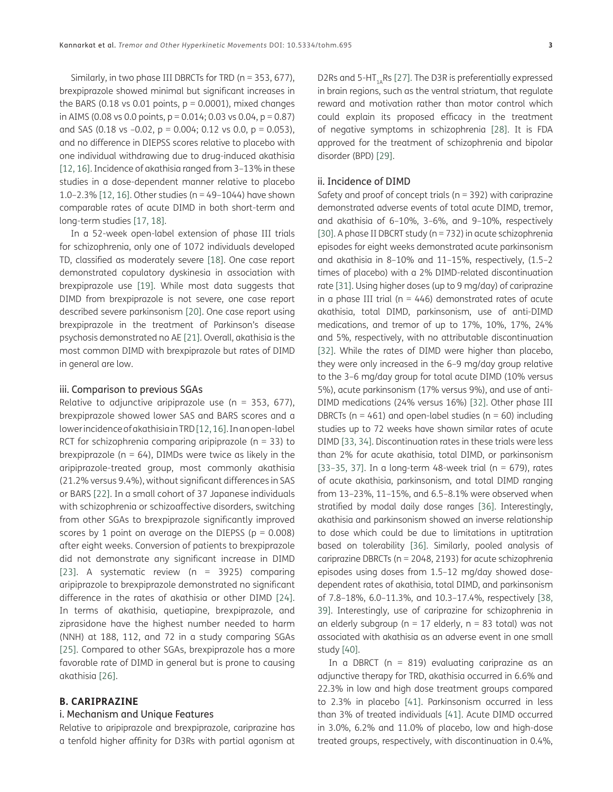Similarly, in two phase III DBRCTs for TRD (n = 353, 677), brexpiprazole showed minimal but significant increases in the BARS (0.18 vs 0.01 points,  $p = 0.0001$ ), mixed changes in AIMS (0.08 vs 0.0 points,  $p = 0.014$ ; 0.03 vs 0.04,  $p = 0.87$ ) and SAS (0.18 vs  $-0.02$ ,  $p = 0.004$ ; 0.12 vs 0.0,  $p = 0.053$ ), and no difference in DIEPSS scores relative to placebo with one individual withdrawing due to drug-induced akathisia [\[12,](#page-11-1) [16](#page-11-5)]. Incidence of akathisia ranged from 3–13% in these studies in a dose-dependent manner relative to placebo 1.0–2.3% [[12](#page-11-1), [16\]](#page-11-5). Other studies (n = 49–1044) have shown comparable rates of acute DIMD in both short-term and long-term studies [\[17,](#page-11-6) [18](#page-11-7)].

In a 52-week open-label extension of phase III trials for schizophrenia, only one of 1072 individuals developed TD, classified as moderately severe [\[18](#page-11-7)]. One case report demonstrated copulatory dyskinesia in association with brexpiprazole use [\[19](#page-11-8)]. While most data suggests that DIMD from brexpiprazole is not severe, one case report described severe parkinsonism [\[20\]](#page-11-9). One case report using brexpiprazole in the treatment of Parkinson's disease psychosis demonstrated no AE [\[21\]](#page-11-10). Overall, akathisia is the most common DIMD with brexpiprazole but rates of DIMD in general are low.

#### iii. Comparison to previous SGAs

Relative to adjunctive aripiprazole use ( $n = 353, 677$ ), brexpiprazole showed lower SAS and BARS scores and a lower incidence of akathisia in TRD [[12](#page-11-1), [16](#page-11-5)]. In an open-label RCT for schizophrenia comparing aripiprazole ( $n = 33$ ) to brexpiprazole ( $n = 64$ ), DIMDs were twice as likely in the aripiprazole-treated group, most commonly akathisia (21.2% versus 9.4%), without significant differences in SAS or BARS [\[22\]](#page-11-11). In a small cohort of 37 Japanese individuals with schizophrenia or schizoaffective disorders, switching from other SGAs to brexpiprazole significantly improved scores by 1 point on average on the DIEPSS ( $p = 0.008$ ) after eight weeks. Conversion of patients to brexpiprazole did not demonstrate any significant increase in DIMD [[23](#page-11-12)]. A systematic review (n = 3925) comparing aripiprazole to brexpiprazole demonstrated no significant difference in the rates of akathisia or other DIMD [[24](#page-11-13)]. In terms of akathisia, quetiapine, brexpiprazole, and ziprasidone have the highest number needed to harm (NNH) at 188, 112, and 72 in a study comparing SGAs [[25](#page-11-14)]. Compared to other SGAs, brexpiprazole has a more favorable rate of DIMD in general but is prone to causing akathisia [[26](#page-11-15)].

#### **B. CARIPRAZINE**

#### i. Mechanism and Unique Features

Relative to aripiprazole and brexpiprazole, cariprazine has a tenfold higher affinity for D3Rs with partial agonism at

D2Rs and 5-HT<sub>1A</sub>Rs [[27\]](#page-11-16). The D3R is preferentially expressed in brain regions, such as the ventral striatum, that regulate reward and motivation rather than motor control which could explain its proposed efficacy in the treatment of negative symptoms in schizophrenia [[28\]](#page-11-17). It is FDA approved for the treatment of schizophrenia and bipolar disorder (BPD) [[29](#page-11-18)].

#### ii. Incidence of DIMD

Safety and proof of concept trials ( $n = 392$ ) with cariprazine demonstrated adverse events of total acute DIMD, tremor, and akathisia of 6–10%, 3–6%, and 9–10%, respectively [\[30](#page-11-19)]. A phase II DBCRT study (n = 732) in acute schizophrenia episodes for eight weeks demonstrated acute parkinsonism and akathisia in 8–10% and 11–15%, respectively, (1.5–2 times of placebo) with a 2% DIMD-related discontinuation rate [\[31](#page-11-20)]. Using higher doses (up to 9 mg/day) of cariprazine in a phase III trial ( $n = 446$ ) demonstrated rates of acute akathisia, total DIMD, parkinsonism, use of anti-DIMD medications, and tremor of up to 17%, 10%, 17%, 24% and 5%, respectively, with no attributable discontinuation [\[32](#page-12-0)]. While the rates of DIMD were higher than placebo, they were only increased in the 6–9 mg/day group relative to the 3–6 mg/day group for total acute DIMD (10% versus 5%), acute parkinsonism (17% versus 9%), and use of anti-DIMD medications (24% versus 16%) [\[32\]](#page-12-0). Other phase III DBRCTs ( $n = 461$ ) and open-label studies ( $n = 60$ ) including studies up to 72 weeks have shown similar rates of acute DIMD [[33](#page-12-1), [34](#page-12-2)]. Discontinuation rates in these trials were less than 2% for acute akathisia, total DIMD, or parkinsonism [\[33](#page-12-1)-[35](#page-12-3), [37\]](#page-12-4). In a long-term 48-week trial ( $n = 679$ ), rates of acute akathisia, parkinsonism, and total DIMD ranging from 13–23%, 11–15%, and 6.5–8.1% were observed when stratified by modal daily dose ranges [[36\]](#page-12-5). Interestingly, akathisia and parkinsonism showed an inverse relationship to dose which could be due to limitations in uptitration based on tolerability [[36\]](#page-12-5). Similarly, pooled analysis of cariprazine DBRCTs (n = 2048, 2193) for acute schizophrenia episodes using doses from 1.5–12 mg/day showed dosedependent rates of akathisia, total DIMD, and parkinsonism of 7.8–18%, 6.0–11.3%, and 10.3–17.4%, respectively [\[38](#page-12-6), [39\]](#page-12-7). Interestingly, use of cariprazine for schizophrenia in an elderly subgroup ( $n = 17$  elderly,  $n = 83$  total) was not associated with akathisia as an adverse event in one small study [\[40\]](#page-12-8).

In a DBRCT ( $n = 819$ ) evaluating cariprazine as an adjunctive therapy for TRD, akathisia occurred in 6.6% and 22.3% in low and high dose treatment groups compared to 2.3% in placebo [\[41\]](#page-12-9). Parkinsonism occurred in less than 3% of treated individuals [[41\]](#page-12-9). Acute DIMD occurred in 3.0%, 6.2% and 11.0% of placebo, low and high-dose treated groups, respectively, with discontinuation in 0.4%,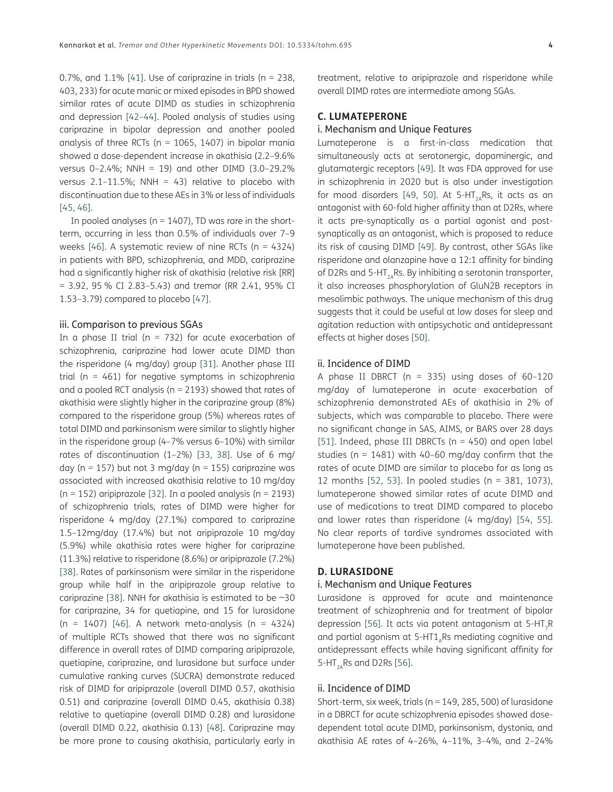0.7%, and  $1.1\%$  [\[41\]](#page-12-9). Use of cariprazine in trials (n = 238, 403, 233) for acute manic or mixed episodes in BPD showed similar rates of acute DIMD as studies in schizophrenia and depression [[42](#page-12-10)–[44\]](#page-12-11). Pooled analysis of studies using cariprazine in bipolar depression and another pooled analysis of three RCTs ( $n = 1065$ , 1407) in bipolar mania showed a dose-dependent increase in akathisia (2.2–9.6% versus 0–2.4%; NNH = 19) and other DIMD (3.0–29.2% versus  $2.1-11.5\%$ ; NNH = 43) relative to placebo with discontinuation due to these AEs in 3% or less of individuals [\[45,](#page-12-12) [46\]](#page-12-13).

In pooled analyses ( $n = 1407$ ), TD was rare in the shortterm, occurring in less than 0.5% of individuals over 7–9 weeks  $[46]$  $[46]$ . A systematic review of nine RCTs (n = 4324) in patients with BPD, schizophrenia, and MDD, cariprazine had a significantly higher risk of akathisia (relative risk [RR] = 3.92, 95 % CI 2.83–5.43) and tremor (RR 2.41, 95% CI 1.53–3.79) compared to placebo [\[47\]](#page-12-14).

#### iii. Comparison to previous SGAs

In a phase II trial ( $n = 732$ ) for acute exacerbation of schizophrenia, cariprazine had lower acute DIMD than the risperidone (4 mg/day) group [[31](#page-11-20)]. Another phase III trial ( $n = 461$ ) for negative symptoms in schizophrenia and a pooled RCT analysis ( $n = 2193$ ) showed that rates of akathisia were slightly higher in the cariprazine group (8%) compared to the risperidone group (5%) whereas rates of total DIMD and parkinsonism were similar to slightly higher in the risperidone group (4–7% versus 6–10%) with similar rates of discontinuation (1–2%) [[33](#page-12-1), [38](#page-12-6)]. Use of 6 mg/ day ( $n = 157$ ) but not 3 mg/day ( $n = 155$ ) cariprazine was associated with increased akathisia relative to 10 mg/day ( $n = 152$ ) aripiprazole [\[32](#page-12-0)]. In a pooled analysis ( $n = 2193$ ) of schizophrenia trials, rates of DIMD were higher for risperidone 4 mg/day (27.1%) compared to cariprazine 1.5–12mg/day (17.4%) but not aripiprazole 10 mg/day (5.9%) while akathisia rates were higher for cariprazine (11.3%) relative to risperidone (8.6%) or aripiprazole (7.2%) [\[38\]](#page-12-6). Rates of parkinsonism were similar in the risperidone group while half in the aripiprazole group relative to cariprazine [\[38\]](#page-12-6). NNH for akathisia is estimated to be  $\sim$ 30 for cariprazine, 34 for quetiapine, and 15 for lurasidone (n = 1407) [\[46\]](#page-12-13). A network meta-analysis (n = 4324) of multiple RCTs showed that there was no significant difference in overall rates of DIMD comparing aripiprazole, quetiapine, cariprazine, and lurasidone but surface under cumulative ranking curves (SUCRA) demonstrate reduced risk of DIMD for aripiprazole (overall DIMD 0.57, akathisia 0.51) and cariprazine (overall DIMD 0.45, akathisia 0.38) relative to quetiapine (overall DIMD 0.28) and lurasidone (overall DIMD 0.22, akathisia 0.13) [\[48\]](#page-12-15). Cariprazine may be more prone to causing akathisia, particularly early in

treatment, relative to aripiprazole and risperidone while overall DIMD rates are intermediate among SGAs.

#### **C. LUMATEPERONE**

#### i. Mechanism and Unique Features

Lumateperone is a first-in-class medication that simultaneously acts at serotonergic, dopaminergic, and glutamatergic receptors [[49](#page-12-16)]. It was FDA approved for use in schizophrenia in 2020 but is also under investigation for mood disorders [\[49,](#page-12-16) [50\]](#page-12-17). At 5-HT<sub>2A</sub>Rs, it acts as an antagonist with 60-fold higher affinity than at D2Rs, where it acts pre-synaptically as a partial agonist and postsynaptically as an antagonist, which is proposed to reduce its risk of causing DIMD [[49\]](#page-12-16). By contrast, other SGAs like risperidone and olanzapine have a 12:1 affinity for binding of D2Rs and 5-HT<sub>2A</sub>Rs. By inhibiting a serotonin transporter, it also increases phosphorylation of GluN2B receptors in mesolimbic pathways. The unique mechanism of this drug suggests that it could be useful at low doses for sleep and agitation reduction with antipsychotic and antidepressant effects at higher doses [[50](#page-12-17)].

#### ii. Incidence of DIMD

A phase II DBRCT ( $n = 335$ ) using doses of 60-120 mg/day of lumateperone in acute exacerbation of schizophrenia demonstrated AEs of akathisia in 2% of subjects, which was comparable to placebo. There were no significant change in SAS, AIMS, or BARS over 28 days [\[51\]](#page-12-18). Indeed, phase III DBRCTs ( $n = 450$ ) and open label studies ( $n = 1481$ ) with 40-60 mg/day confirm that the rates of acute DIMD are similar to placebo for as long as 12 months [[52,](#page-12-19) [53](#page-12-20)]. In pooled studies (n = 381, 1073), lumateperone showed similar rates of acute DIMD and use of medications to treat DIMD compared to placebo and lower rates than risperidone (4 mg/day) [\[54,](#page-12-21) [55](#page-13-0)]. No clear reports of tardive syndromes associated with lumateperone have been published.

#### **D. LURASIDONE**

#### i. Mechanism and Unique Features

Lurasidone is approved for acute and maintenance treatment of schizophrenia and for treatment of bipolar depression [\[56](#page-13-1)]. It acts via potent antagonism at  $5-HT_R$ and partial agonism at  $5-HT1_ARs$  mediating cognitive and antidepressant effects while having significant affinity for 5-HT $_{2A}$ Rs and D2Rs [\[56](#page-13-1)].

#### ii. Incidence of DIMD

Short-term, six week, trials ( $n = 149, 285, 500$ ) of lurasidone in a DBRCT for acute schizophrenia episodes showed dosedependent total acute DIMD, parkinsonism, dystonia, and akathisia AE rates of 4–26%, 4–11%, 3–4%, and 2–24%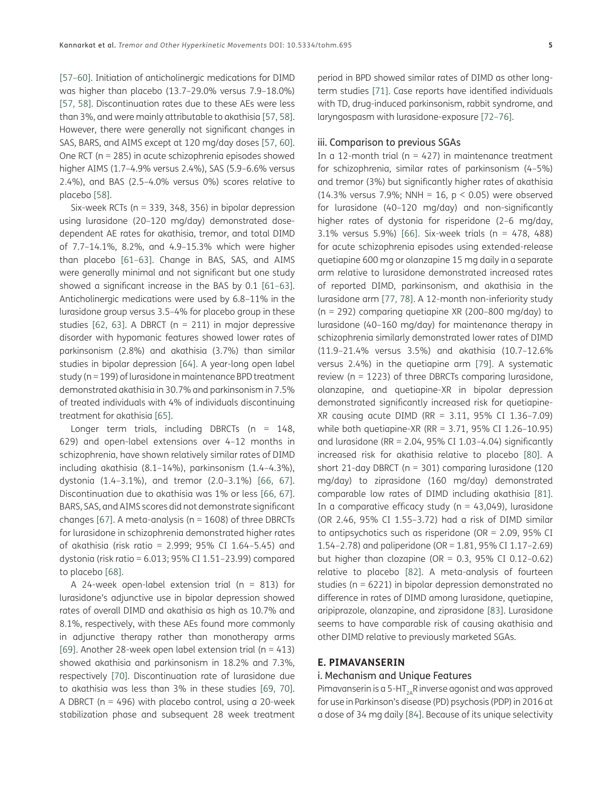[\[57](#page-13-2)[–60\]](#page-13-3). Initiation of anticholinergic medications for DIMD was higher than placebo (13.7–29.0% versus 7.9–18.0%) [\[57,](#page-13-2) [58](#page-13-4)]. Discontinuation rates due to these AEs were less than 3%, and were mainly attributable to akathisia [[57](#page-13-2), [58\]](#page-13-4). However, there were generally not significant changes in SAS, BARS, and AIMS except at 120 mg/day doses [\[57,](#page-13-2) [60\]](#page-13-3). One RCT (n = 285) in acute schizophrenia episodes showed higher AIMS (1.7–4.9% versus 2.4%), SAS (5.9–6.6% versus 2.4%), and BAS (2.5–4.0% versus 0%) scores relative to placebo [\[58\]](#page-13-4).

Six-week RCTs (n = 339, 348, 356) in bipolar depression using lurasidone (20–120 mg/day) demonstrated dosedependent AE rates for akathisia, tremor, and total DIMD of 7.7–14.1%, 8.2%, and 4.9–15.3% which were higher than placebo [[61](#page-13-5)–[63\]](#page-13-6). Change in BAS, SAS, and AIMS were generally minimal and not significant but one study showed a significant increase in the BAS by 0.1 [\[61–](#page-13-5)[63\]](#page-13-6). Anticholinergic medications were used by 6.8–11% in the lurasidone group versus 3.5–4% for placebo group in these studies  $[62, 63]$  $[62, 63]$  $[62, 63]$ . A DBRCT (n = 211) in major depressive disorder with hypomanic features showed lower rates of parkinsonism (2.8%) and akathisia (3.7%) than similar studies in bipolar depression [\[64\]](#page-13-8). A year-long open label study (n = 199) of lurasidone in maintenance BPD treatment demonstrated akathisia in 30.7% and parkinsonism in 7.5% of treated individuals with 4% of individuals discontinuing treatment for akathisia [\[65\]](#page-13-9).

Longer term trials, including DBRCTs ( $n = 148$ , 629) and open-label extensions over 4–12 months in schizophrenia, have shown relatively similar rates of DIMD including akathisia (8.1–14%), parkinsonism (1.4–4.3%), dystonia (1.4–3.1%), and tremor (2.0–3.1%) [[66](#page-13-10), [67](#page-13-11)]. Discontinuation due to akathisia was 1% or less [\[66,](#page-13-10) [67](#page-13-11)]. BARS, SAS, and AIMS scores did not demonstrate significant changes [\[67\]](#page-13-11). A meta-analysis ( $n = 1608$ ) of three DBRCTs for lurasidone in schizophrenia demonstrated higher rates of akathisia (risk ratio = 2.999; 95% CI 1.64–5.45) and dystonia (risk ratio = 6.013; 95% CI 1.51–23.99) compared to placebo [[68](#page-13-12)].

A 24-week open-label extension trial ( $n = 813$ ) for lurasidone's adjunctive use in bipolar depression showed rates of overall DIMD and akathisia as high as 10.7% and 8.1%, respectively, with these AEs found more commonly in adjunctive therapy rather than monotherapy arms [\[69\]](#page-13-13). Another 28-week open label extension trial ( $n = 413$ ) showed akathisia and parkinsonism in 18.2% and 7.3%, respectively [\[70\]](#page-13-14). Discontinuation rate of lurasidone due to akathisia was less than 3% in these studies [[69](#page-13-13), [70\]](#page-13-14). A DBRCT ( $n = 496$ ) with placebo control, using a 20-week stabilization phase and subsequent 28 week treatment

period in BPD showed similar rates of DIMD as other longterm studies [[71](#page-13-15)]. Case reports have identified individuals with TD, drug-induced parkinsonism, rabbit syndrome, and laryngospasm with lurasidone-exposure [\[72–](#page-13-16)[76](#page-13-17)].

#### iii. Comparison to previous SGAs

In a 12-month trial ( $n = 427$ ) in maintenance treatment for schizophrenia, similar rates of parkinsonism (4–5%) and tremor (3%) but significantly higher rates of akathisia (14.3% versus 7.9%; NNH = 16,  $p < 0.05$ ) were observed for lurasidone (40–120 mg/day) and non-significantly higher rates of dystonia for risperidone (2–6 mg/day, 3.1% versus 5.9%) [[66](#page-13-10)]. Six-week trials (n = 478, 488) for acute schizophrenia episodes using extended-release quetiapine 600 mg or olanzapine 15 mg daily in a separate arm relative to lurasidone demonstrated increased rates of reported DIMD, parkinsonism, and akathisia in the lurasidone arm [\[77,](#page-14-0) [78\]](#page-14-1). A 12-month non-inferiority study (n = 292) comparing quetiapine XR (200–800 mg/day) to lurasidone (40–160 mg/day) for maintenance therapy in schizophrenia similarly demonstrated lower rates of DIMD (11.9–21.4% versus 3.5%) and akathisia (10.7–12.6% versus 2.4%) in the quetiapine arm [[79](#page-14-2)]. A systematic review (n = 1223) of three DBRCTs comparing lurasidone, olanzapine, and quetiapine-XR in bipolar depression demonstrated significantly increased risk for quetiapine-XR causing acute DIMD (RR = 3.11, 95% CI 1.36–7.09) while both quetiapine-XR (RR = 3.71, 95% CI 1.26–10.95) and lurasidone (RR =  $2.04$ , 95% CI 1.03-4.04) significantly increased risk for akathisia relative to placebo [\[80\]](#page-14-3). A short 21-day DBRCT ( $n = 301$ ) comparing lurasidone (120 mg/day) to ziprasidone (160 mg/day) demonstrated comparable low rates of DIMD including akathisia [[81](#page-14-4)]. In a comparative efficacy study ( $n = 43,049$ ), lurasidone (OR 2.46, 95% CI 1.55–3.72) had a risk of DIMD similar to antipsychotics such as risperidone (OR = 2.09, 95% CI 1.54–2.78) and paliperidone (OR = 1.81, 95% CI 1.17–2.69) but higher than clozapine (OR =  $0.3$ , 95% CI 0.12-0.62) relative to placebo [[82](#page-14-5)]. A meta-analysis of fourteen studies (n = 6221) in bipolar depression demonstrated no difference in rates of DIMD among lurasidone, quetiapine, aripiprazole, olanzapine, and ziprasidone [[83](#page-14-6)]. Lurasidone seems to have comparable risk of causing akathisia and other DIMD relative to previously marketed SGAs.

#### **E. PIMAVANSERIN**

#### i. Mechanism and Unique Features

Pimavanserin is a 5-HT<sub>2A</sub>R inverse agonist and was approved for use in Parkinson's disease (PD) psychosis (PDP) in 2016 at a dose of 34 mg daily [\[84](#page-14-7)]. Because of its unique selectivity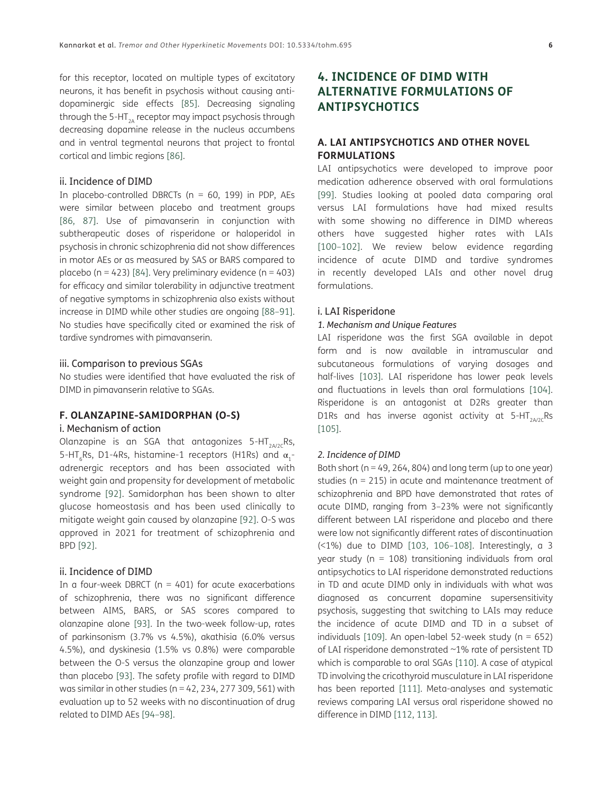for this receptor, located on multiple types of excitatory neurons, it has benefit in psychosis without causing antidopaminergic side effects [[85](#page-14-8)]. Decreasing signaling through the 5-HT<sub>2A</sub> receptor may impact psychosis through decreasing dopamine release in the nucleus accumbens and in ventral tegmental neurons that project to frontal cortical and limbic regions [\[86\]](#page-14-9).

#### ii. Incidence of DIMD

In placebo-controlled DBRCTs ( $n = 60$ , 199) in PDP, AEs were similar between placebo and treatment groups [\[86,](#page-14-9) [87](#page-14-10)]. Use of pimavanserin in conjunction with subtherapeutic doses of risperidone or haloperidol in psychosis in chronic schizophrenia did not show differences in motor AEs or as measured by SAS or BARS compared to placebo (n = 423) [\[84](#page-14-7)]. Very preliminary evidence (n = 403) for efficacy and similar tolerability in adjunctive treatment of negative symptoms in schizophrenia also exists without increase in DIMD while other studies are ongoing [\[88–](#page-14-11)[91\]](#page-14-12). No studies have specifically cited or examined the risk of tardive syndromes with pimavanserin.

#### iii. Comparison to previous SGAs

No studies were identified that have evaluated the risk of DIMD in pimavanserin relative to SGAs.

#### **F. OLANZAPINE-SAMIDORPHAN (O-S)**

#### i. Mechanism of action

Olanzapine is an SGA that antagonizes  $5-HT$ <sub>2A/2c</sub>Rs, 5-HT<sub>6</sub>Rs, D1-4Rs, histamine-1 receptors (H1Rs) and  $\alpha_1$ adrenergic receptors and has been associated with weight gain and propensity for development of metabolic syndrome [\[92\]](#page-14-13). Samidorphan has been shown to alter glucose homeostasis and has been used clinically to mitigate weight gain caused by olanzapine [[92](#page-14-13)]. O-S was approved in 2021 for treatment of schizophrenia and BPD [[92\]](#page-14-13).

#### ii. Incidence of DIMD

In a four-week DBRCT ( $n = 401$ ) for acute exacerbations of schizophrenia, there was no significant difference between AIMS, BARS, or SAS scores compared to olanzapine alone [[93](#page-14-14)]. In the two-week follow-up, rates of parkinsonism (3.7% vs 4.5%), akathisia (6.0% versus 4.5%), and dyskinesia (1.5% vs 0.8%) were comparable between the O-S versus the olanzapine group and lower than placebo [\[93](#page-14-14)]. The safety profile with regard to DIMD was similar in other studies ( $n = 42$ , 234, 277 309, 561) with evaluation up to 52 weeks with no discontinuation of drug related to DIMD AEs [[94](#page-14-15)[–98\]](#page-15-0).

#### **4. INCIDENCE OF DIMD WITH ALTERNATIVE FORMULATIONS OF ANTIPSYCHOTICS**

#### **A. LAI ANTIPSYCHOTICS AND OTHER NOVEL FORMULATIONS**

LAI antipsychotics were developed to improve poor medication adherence observed with oral formulations [\[99](#page-15-1)]. Studies looking at pooled data comparing oral versus LAI formulations have had mixed results with some showing no difference in DIMD whereas others have suggested higher rates with LAIs [\[100](#page-15-2)–[102\]](#page-15-3). We review below evidence regarding incidence of acute DIMD and tardive syndromes in recently developed LAIs and other novel drug formulations.

#### i. LAI Risperidone

#### *1. Mechanism and Unique Features*

LAI risperidone was the first SGA available in depot form and is now available in intramuscular and subcutaneous formulations of varying dosages and half-lives [\[103\]](#page-15-4). LAI risperidone has lower peak levels and fluctuations in levels than oral formulations [[104](#page-15-5)]. Risperidone is an antagonist at D2Rs greater than D1Rs and has inverse agonist activity at  $5-HT<sub>2A/2C</sub>Rs$ [\[105\]](#page-15-6).

#### *2. Incidence of DIMD*

Both short ( $n = 49, 264, 804$ ) and long term (up to one year) studies (n = 215) in acute and maintenance treatment of schizophrenia and BPD have demonstrated that rates of acute DIMD, ranging from 3–23% were not significantly different between LAI risperidone and placebo and there were low not significantly different rates of discontinuation (<1%) due to DIMD [[103](#page-15-4), [106](#page-15-7)[–108\]](#page-15-8). Interestingly, a 3 year study ( $n = 108$ ) transitioning individuals from oral antipsychotics to LAI risperidone demonstrated reductions in TD and acute DIMD only in individuals with what was diagnosed as concurrent dopamine supersensitivity psychosis, suggesting that switching to LAIs may reduce the incidence of acute DIMD and TD in a subset of individuals [\[109\]](#page-15-9). An open-label 52-week study ( $n = 652$ ) of LAI risperidone demonstrated ~1% rate of persistent TD which is comparable to oral SGAs [[110](#page-15-10)]. A case of atypical TD involving the cricothyroid musculature in LAI risperidone has been reported [[111](#page-15-11)]. Meta-analyses and systematic reviews comparing LAI versus oral risperidone showed no difference in DIMD [\[112,](#page-15-12) [113\]](#page-15-13).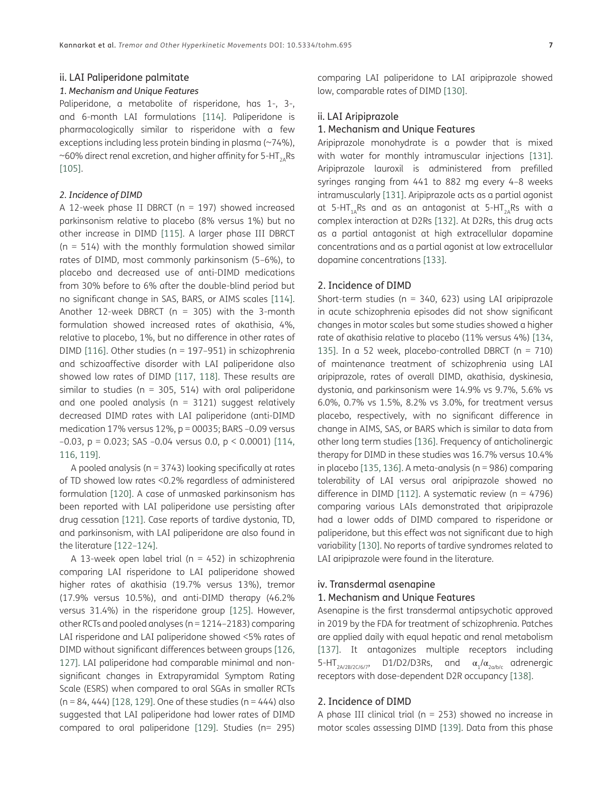#### *1. Mechanism and Unique Features*

Paliperidone, a metabolite of risperidone, has 1-, 3-, and 6-month LAI formulations [\[114\]](#page-15-14). Paliperidone is pharmacologically similar to risperidone with a few exceptions including less protein binding in plasma (~74%), ~60% direct renal excretion, and higher affinity for 5-HT<sub>2A</sub>Rs [\[105\]](#page-15-6).

#### *2. Incidence of DIMD*

A 12-week phase II DBRCT ( $n = 197$ ) showed increased parkinsonism relative to placebo (8% versus 1%) but no other increase in DIMD [[115\]](#page-15-15). A larger phase III DBRCT  $(n = 514)$  with the monthly formulation showed similar rates of DIMD, most commonly parkinsonism (5–6%), to placebo and decreased use of anti-DIMD medications from 30% before to 6% after the double-blind period but no significant change in SAS, BARS, or AIMS scales [[114](#page-15-14)]. Another 12-week DBRCT ( $n = 305$ ) with the 3-month formulation showed increased rates of akathisia, 4%, relative to placebo, 1%, but no difference in other rates of DIMD [\[116](#page-15-16)]. Other studies (n = 197–951) in schizophrenia and schizoaffective disorder with LAI paliperidone also showed low rates of DIMD [[117](#page-15-17), [118\]](#page-16-0). These results are similar to studies ( $n = 305, 514$ ) with oral paliperidone and one pooled analysis ( $n = 3121$ ) suggest relatively decreased DIMD rates with LAI paliperidone (anti-DIMD medication 17% versus 12%, p = 00035; BARS –0.09 versus –0.03, p = 0.023; SAS –0.04 versus 0.0, p < 0.0001) [[114](#page-15-14), [116](#page-15-16), [119](#page-16-1)].

A pooled analysis (n = 3743) looking specifically at rates of TD showed low rates <0.2% regardless of administered formulation [\[120\]](#page-16-2). A case of unmasked parkinsonism has been reported with LAI paliperidone use persisting after drug cessation [[121](#page-16-3)]. Case reports of tardive dystonia, TD, and parkinsonism, with LAI paliperidone are also found in the literature [[122](#page-16-4)–[124](#page-16-5)].

A 13-week open label trial ( $n = 452$ ) in schizophrenia comparing LAI risperidone to LAI paliperidone showed higher rates of akathisia (19.7% versus 13%), tremor (17.9% versus 10.5%), and anti-DIMD therapy (46.2% versus 31.4%) in the risperidone group [\[125\]](#page-16-6). However, other RCTs and pooled analyses (n = 1214–2183) comparing LAI risperidone and LAI paliperidone showed <5% rates of DIMD without significant differences between groups [[126](#page-16-7), [127](#page-16-8)]. LAI paliperidone had comparable minimal and nonsignificant changes in Extrapyramidal Symptom Rating Scale (ESRS) when compared to oral SGAs in smaller RCTs  $(n = 84, 444)$  [[128](#page-16-9), [129\]](#page-16-10). One of these studies  $(n = 444)$  also suggested that LAI paliperidone had lower rates of DIMD compared to oral paliperidone [\[129\]](#page-16-10). Studies (n= 295) comparing LAI paliperidone to LAI aripiprazole showed low, comparable rates of DIMD [\[130\]](#page-16-11).

#### ii. LAI Aripiprazole

#### 1. Mechanism and Unique Features

Aripiprazole monohydrate is a powder that is mixed with water for monthly intramuscular injections [[131](#page-16-12)]. Aripiprazole lauroxil is administered from prefilled syringes ranging from 441 to 882 mg every 4–8 weeks intramuscularly [\[131\]](#page-16-12). Aripiprazole acts as a partial agonist at 5-HT<sub>1</sub>,Rs and as an antagonist at 5-HT<sub>2</sub>,Rs with a complex interaction at D2Rs [\[132\]](#page-16-13). At D2Rs, this drug acts as a partial antagonist at high extracellular dopamine concentrations and as a partial agonist at low extracellular dopamine concentrations [[133](#page-16-14)].

#### 2. Incidence of DIMD

Short-term studies ( $n = 340, 623$ ) using LAI aripiprazole in acute schizophrenia episodes did not show significant changes in motor scales but some studies showed a higher rate of akathisia relative to placebo (11% versus 4%) [[134](#page-16-15), [135\]](#page-16-16). In a 52 week, placebo-controlled DBRCT ( $n = 710$ ) of maintenance treatment of schizophrenia using LAI aripiprazole, rates of overall DIMD, akathisia, dyskinesia, dystonia, and parkinsonism were 14.9% vs 9.7%, 5.6% vs 6.0%, 0.7% vs 1.5%, 8.2% vs 3.0%, for treatment versus placebo, respectively, with no significant difference in change in AIMS, SAS, or BARS which is similar to data from other long term studies [[136](#page-16-17)]. Frequency of anticholinergic therapy for DIMD in these studies was 16.7% versus 10.4% in placebo [[135](#page-16-16), [136](#page-16-17)]. A meta-analysis (n = 986) comparing tolerability of LAI versus oral aripiprazole showed no difference in DIMD [[112](#page-15-12)]. A systematic review ( $n = 4796$ ) comparing various LAIs demonstrated that aripiprazole had a lower odds of DIMD compared to risperidone or paliperidone, but this effect was not significant due to high variability [[130](#page-16-11)]. No reports of tardive syndromes related to LAI aripiprazole were found in the literature.

#### iv. Transdermal asenapine

#### 1. Mechanism and Unique Features

Asenapine is the first transdermal antipsychotic approved in 2019 by the FDA for treatment of schizophrenia. Patches are applied daily with equal hepatic and renal metabolism [\[137\]](#page-16-18). It antagonizes multiple receptors including 5-HT<sub>2A/2B/2C/6/7</sub>, D1/D2/D3Rs, and  $\alpha_1/\alpha_{2a/b/c}$  adrenergic receptors with dose-dependent D2R occupancy [\[138\]](#page-16-19).

#### 2. Incidence of DIMD

A phase III clinical trial ( $n = 253$ ) showed no increase in motor scales assessing DIMD [\[139\]](#page-17-0). Data from this phase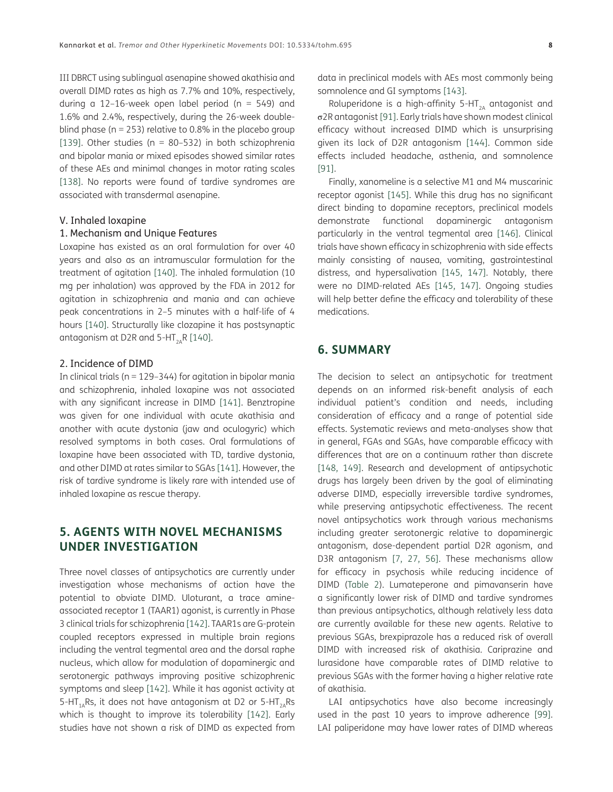III DBRCT using sublingual asenapine showed akathisia and overall DIMD rates as high as 7.7% and 10%, respectively, during a 12-16-week open label period ( $n = 549$ ) and 1.6% and 2.4%, respectively, during the 26-week doubleblind phase ( $n = 253$ ) relative to 0.8% in the placebo group [\[139\]](#page-17-0). Other studies ( $n = 80-532$ ) in both schizophrenia and bipolar mania or mixed episodes showed similar rates of these AEs and minimal changes in motor rating scales [\[138\]](#page-16-19). No reports were found of tardive syndromes are associated with transdermal asenapine.

#### V. Inhaled loxapine

#### 1. Mechanism and Unique Features

Loxapine has existed as an oral formulation for over 40 years and also as an intramuscular formulation for the treatment of agitation [[140](#page-17-1)]. The inhaled formulation (10 mg per inhalation) was approved by the FDA in 2012 for agitation in schizophrenia and mania and can achieve peak concentrations in 2–5 minutes with a half-life of 4 hours [\[140\]](#page-17-1). Structurally like clozapine it has postsynaptic antagonism at D2R and 5-HT<sub>2A</sub>R [\[140\]](#page-17-1).

#### 2. Incidence of DIMD

In clinical trials ( $n = 129-344$ ) for agitation in bipolar mania and schizophrenia, inhaled loxapine was not associated with any significant increase in DIMD [\[141\]](#page-17-2). Benztropine was given for one individual with acute akathisia and another with acute dystonia (jaw and oculogyric) which resolved symptoms in both cases. Oral formulations of loxapine have been associated with TD, tardive dystonia, and other DIMD at rates similar to SGAs [[141](#page-17-2)]. However, the risk of tardive syndrome is likely rare with intended use of inhaled loxapine as rescue therapy.

#### **5. AGENTS WITH NOVEL MECHANISMS UNDER INVESTIGATION**

Three novel classes of antipsychotics are currently under investigation whose mechanisms of action have the potential to obviate DIMD. Uloturant, a trace amineassociated receptor 1 (TAAR1) agonist, is currently in Phase 3 clinical trials for schizophrenia [\[142\]](#page-17-3). TAAR1s are G-protein coupled receptors expressed in multiple brain regions including the ventral tegmental area and the dorsal raphe nucleus, which allow for modulation of dopaminergic and serotonergic pathways improving positive schizophrenic symptoms and sleep [\[142\]](#page-17-3). While it has agonist activity at 5-HT<sub>1</sub>, Rs, it does not have antagonism at D2 or 5-HT<sub>3</sub>, Rs which is thought to improve its tolerability [[142](#page-17-3)]. Early studies have not shown a risk of DIMD as expected from

data in preclinical models with AEs most commonly being somnolence and GI symptoms [[143](#page-17-4)].

Roluperidone is a high-affinity 5-HT<sub>2A</sub> antagonist and σ2R antagonist [\[91\]](#page-14-12). Early trials have shown modest clinical efficacy without increased DIMD which is unsurprising given its lack of D2R antagonism [[144](#page-17-5)]. Common side effects included headache, asthenia, and somnolence [\[91\]](#page-14-12).

Finally, xanomeline is a selective M1 and M4 muscarinic receptor agonist [\[145\]](#page-17-6). While this drug has no significant direct binding to dopamine receptors, preclinical models demonstrate functional dopaminergic antagonism particularly in the ventral tegmental area [[146](#page-17-7)]. Clinical trials have shown efficacy in schizophrenia with side effects mainly consisting of nausea, vomiting, gastrointestinal distress, and hypersalivation [\[145,](#page-17-6) [147\]](#page-17-8). Notably, there were no DIMD-related AEs [\[145,](#page-17-6) [147](#page-17-8)]. Ongoing studies will help better define the efficacy and tolerability of these medications.

#### **6. SUMMARY**

The decision to select an antipsychotic for treatment depends on an informed risk-benefit analysis of each individual patient's condition and needs, including consideration of efficacy and a range of potential side effects. Systematic reviews and meta-analyses show that in general, FGAs and SGAs, have comparable efficacy with differences that are on a continuum rather than discrete [\[148,](#page-17-9) [149](#page-17-10)]. Research and development of antipsychotic drugs has largely been driven by the goal of eliminating adverse DIMD, especially irreversible tardive syndromes, while preserving antipsychotic effectiveness. The recent novel antipsychotics work through various mechanisms including greater serotonergic relative to dopaminergic antagonism, dose-dependent partial D2R agonism, and D3R antagonism [[7,](#page-10-7) [27,](#page-11-16) [56](#page-13-1)]. These mechanisms allow for efficacy in psychosis while reducing incidence of DIMD [\(Table 2\)](#page-8-0). Lumateperone and pimavanserin have a significantly lower risk of DIMD and tardive syndromes than previous antipsychotics, although relatively less data are currently available for these new agents. Relative to previous SGAs, brexpiprazole has a reduced risk of overall DIMD with increased risk of akathisia. Cariprazine and lurasidone have comparable rates of DIMD relative to previous SGAs with the former having a higher relative rate of akathisia.

LAI antipsychotics have also become increasingly used in the past 10 years to improve adherence [[99](#page-15-1)]. LAI paliperidone may have lower rates of DIMD whereas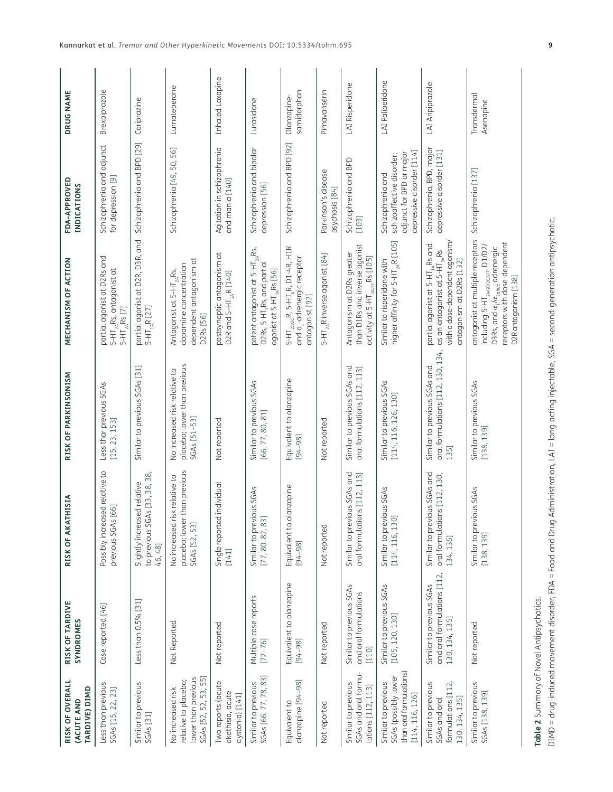| RISK OF OVERALL<br>TARDIVE) DIMD<br>(ACUTE AND                                            | RISK OF TARDIVE<br>SYNDROMES                                              | RISK OF AKATHISIA                                                                 | RISK OF PARKINSONISM                                                          | MECHANISM OF ACTION                                                                                                                                                                                                                   | FDA-APPROVED<br><b>INDICATIONS</b>                                                                      | DRUG NAME                  |
|-------------------------------------------------------------------------------------------|---------------------------------------------------------------------------|-----------------------------------------------------------------------------------|-------------------------------------------------------------------------------|---------------------------------------------------------------------------------------------------------------------------------------------------------------------------------------------------------------------------------------|---------------------------------------------------------------------------------------------------------|----------------------------|
| Less than previous<br>SGAs [15, 22, 23]                                                   | Case reported [46]                                                        | Possibly increased relative to<br>previous SGAs [66]                              | Less thar previous SGAs<br>[15, 23, 153]                                      | partial agonist at D2Rs and<br>$5-HT_{2A}$ Rs, antagonist at<br>$5-HT_{2A}$ Rs [7]                                                                                                                                                    | Schizophrenia and adjunct<br>for depression [9]                                                         | Brexpiprazole              |
| Similar to previous<br>SGAs [31]                                                          | Less than 0.5% [31]                                                       | [33, 38, 38,<br>Slightly increased relative<br>to previous SGAs<br>46, 48]        | Similar to previous SGAs [31]                                                 | partial agonist at D2R, D3R, and<br>$5-HT_{1A}R$ [27]                                                                                                                                                                                 | Schizophrenia and BPD [29]                                                                              | Cariprazine                |
| SGAs [52, 52, 53, 55]<br>lower than previous<br>relative to placebo;<br>No increased risk | Not Reported                                                              | placebo; lower than previous<br>relative to<br>No increased risk<br>SGAs [52, 53] | placebo; lower than previous<br>No increased risk relative to<br>SGAs [51-53] | dependent antagonism at<br>dopamine concentration<br>Antagonist at 5-HT <sub>2A</sub> Rs,<br>D2Rs [56]                                                                                                                                | Schizophrenia [49, 50, 56]                                                                              | Lumateperone               |
| Two reports (acute<br>akathisia, acute<br>dystonia) [141]                                 | Not reported                                                              | <b>Idividual</b><br>Single reported in<br>[141]                                   | Not reported                                                                  | $\overline{\sigma}$<br>postsynaptic antagonism<br>D2R and $5-HT_{2A}R$ [140]                                                                                                                                                          | Agitation in schizophrenia<br>and mania [140]                                                           | Inhaled Loxapine           |
| SGAs [66, 77, 78, 83]<br>Similar to previous                                              | Multiple case reports<br>$[72 - 76]$                                      | IS SGAS<br>Similar to previou<br>[77, 80, 82, 83]                                 | Similar to previous SGAs<br>[66, 77, 80, 81]                                  | potent antagonist at 5-HT $_{26}$ Rs,<br>D2Rs, 5-HT, Rs, and partial<br>agonist at 5-HT <sub>1A</sub> Rs [56]                                                                                                                         | Schizophrenia and bipolar<br>depression [56]                                                            | Lurasidone                 |
| olanzapine [94-98]<br>Equivalent to                                                       | Equivalent to olanzapine<br>$[94 - 98]$                                   | Equivalent to olanzapine<br>$[94 - 98]$                                           | Equivalent to olanzapine<br>$[94 - 98]$                                       | $5-HT_{2A/2C}R$ , $5-HT_6R$ , $D1-4R$ , $H1R$<br>and a <sub>1</sub> -adrenergic receptor<br>antagonist [92]                                                                                                                           | Schizophrenia and BPD [92]                                                                              | samidorphan<br>Olanzapine- |
| Not reported                                                                              | Not reported                                                              | Not reported                                                                      | Not reported                                                                  | 5-HT <sub>2A</sub> R inverse agonist [84]                                                                                                                                                                                             | Parkinson's disease<br>psychosis [84]                                                                   | Pimavanserin               |
| SGAs and oral formu-<br>Similar to previous<br>lations [112, 113]                         | Similar to previous SGAs<br>and oral formulations<br>[110]                | Similar to previous SGAs and<br>oral formulations [112, 113]                      | Similar to previous SGAs and<br>oral formulations [112, 113]                  | than D1Rs and inverse agonist<br>Antagonism at D2Rs greater<br>activity at $5-HT_{2A/2C}$ Rs [105]                                                                                                                                    | Schizophrenia and BPD<br>[103]                                                                          | LAI Risperidone            |
| than oral formulations)<br>SGAs (possibly lower<br>Similar to previous<br>[114, 116, 126] | Similar to previous SGAs<br>[105, 120, 130]                               | Similar to previous SGAs<br>[114, 116, 130]                                       | Similar to previous SGAs<br>[114, 116, 126, 130]                              | higher affinity for 5-HT <sub>2A</sub> R [105]<br>Similar to risperidone with                                                                                                                                                         | depressive disorder [114]<br>adjunct for BPD or major<br>schizoaffective disorder;<br>Schizophrenia and | LAI Paliperidone           |
| formulations [112,<br>Similar to previous<br>130, 134, 135]<br>SGAs and oral              | and oral formulations [112,<br>Similar to previous SGAs<br>130, 134, 135] | Similar to previous SGAs and<br>oral formulations [112, 130,<br>134, 135]         | oral formulations [112, 130, 134,<br>Similar to previous SGAs and<br>135]     | with a dose-dependent agonism/<br>partial agonist at 5-HT <sub>1A</sub> Rs and<br>as an antagonist at 5-HT <sub>2A</sub> Rs<br>antagonism at D2Rs [132]                                                                               | Schizophrenia, BPD, major<br>depressive disorder [131]                                                  | LAI Aripiprazole           |
| Similar to previous<br>SGAs [138, 139]                                                    | Not reported                                                              | Similar to previous SGAs<br>[138, 139]                                            | Similar to previous SGAs<br>[138, 139]                                        | antagonist at multiple receptors<br>receptors with dose-dependent<br>including 5-HT <sub>2A/2B/206/7</sub> , D1/D2/<br>D3Rs, and $\alpha_{\scriptscriptstyle 1}/\alpha_{\scriptscriptstyle 2ab,c}$ adrenergic<br>D2R antagonism [138] | Schizophrenia [137]                                                                                     | Transdermal<br>Asenapine   |

<span id="page-8-0"></span>**Table 2** Summary of Novel Antipsychotics.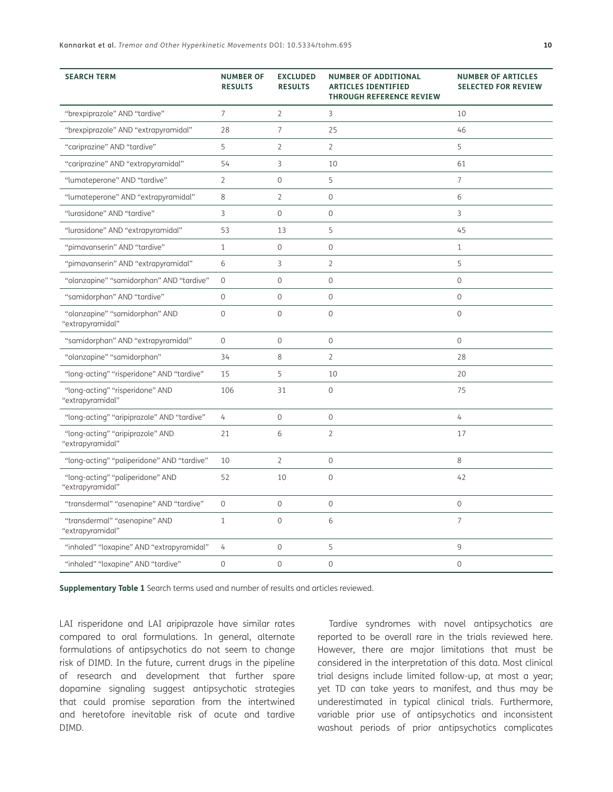| <b>SEARCH TERM</b>                                   | <b>NUMBER OF</b><br><b>RESULTS</b> | <b>EXCLUDED</b><br><b>RESULTS</b> | <b>NUMBER OF ADDITIONAL</b><br><b>ARTICLES IDENTIFIED</b><br><b>THROUGH REFERENCE REVIEW</b> | <b>NUMBER OF ARTICLES</b><br><b>SELECTED FOR REVIEW</b> |
|------------------------------------------------------|------------------------------------|-----------------------------------|----------------------------------------------------------------------------------------------|---------------------------------------------------------|
| "brexpiprazole" AND "tardive"                        | $\overline{7}$                     | $\overline{2}$                    | 3                                                                                            | 10                                                      |
| "brexpiprazole" AND "extrapyramidal"                 | 28                                 | 7                                 | 25                                                                                           | 46                                                      |
| "cariprazine" AND "tardive"                          | 5                                  | $\overline{2}$                    | $\overline{2}$                                                                               | 5                                                       |
| "cariprazine" AND "extrapyramidal"                   | 54                                 | 3                                 | 10                                                                                           | 61                                                      |
| "lumateperone" AND "tardive"                         | $\overline{2}$                     | $\mathbf{0}$                      | 5                                                                                            | 7                                                       |
| "lumateperone" AND "extrapyramidal"                  | 8                                  | $\overline{2}$                    | $\mathsf{O}\xspace$                                                                          | 6                                                       |
| "lurasidone" AND "tardive"                           | 3                                  | $\mathbf{0}$                      | $\mathsf{O}\xspace$                                                                          | 3                                                       |
| "lurasidone" AND "extrapyramidal"                    | 53                                 | 13                                | 5                                                                                            | 45                                                      |
| "pimavanserin" AND "tardive"                         | $\mathbf{1}$                       | $\mathbf{0}$                      | $\mathsf{O}\xspace$                                                                          | 1                                                       |
| "pimavanserin" AND "extrapyramidal"                  | 6                                  | 3                                 | $\overline{2}$                                                                               | 5                                                       |
| "olanzapine" "samidorphan" AND "tardive"             | $\mathsf{O}\xspace$                | $\mathbf 0$                       | $\mathsf{O}\xspace$                                                                          | $\mathbf 0$                                             |
| "samidorphan" AND "tardive"                          | $\mathsf{O}\xspace$                | $\mathbf 0$                       | $\mathsf{O}\xspace$                                                                          | $\mathbf 0$                                             |
| "olanzapine" "samidorphan" AND<br>"extrapyramidal"   | $\mathsf{O}\xspace$                | $\mathbf 0$                       | $\mathsf{O}\xspace$                                                                          | $\mathbf 0$                                             |
| "samidorphan" AND "extrapyramidal"                   | $\mathbf 0$                        | $\overline{0}$                    | $\mathbf 0$                                                                                  | $\mathbf 0$                                             |
| "olanzapine" "samidorphan"                           | 34                                 | 8                                 | $\overline{2}$                                                                               | 28                                                      |
| "long-acting" "risperidone" AND "tardive"            | 15                                 | 5                                 | 10                                                                                           | 20                                                      |
| "long-acting" "risperidone" AND<br>"extrapyramidal"  | 106                                | 31                                | $\mathsf{O}\xspace$                                                                          | 75                                                      |
| "long-acting" "aripiprazole" AND "tardive"           | $\overline{4}$                     | $\mathbf{0}$                      | $\mathsf{O}\xspace$                                                                          | 4                                                       |
| "long-acting" "aripiprazole" AND<br>"extrapyramidal" | 21                                 | 6                                 | $\overline{2}$                                                                               | 17                                                      |
| "long-acting" "paliperidone" AND "tardive"           | 10                                 | $\overline{2}$                    | $\mathsf{O}\xspace$                                                                          | 8                                                       |
| "long-acting" "paliperidone" AND<br>"extrapyramidal" | 52                                 | 10                                | $\mathbf 0$                                                                                  | 42                                                      |
| "transdermal" "asenapine" AND "tardive"              | $\overline{0}$                     | $\overline{0}$                    | $\overline{0}$                                                                               | $\overline{0}$                                          |
| "transdermal" "asenapine" AND<br>"extrapyramidal"    | $\mathbf{1}$                       | $\mathbf 0$                       | 6                                                                                            | 7                                                       |
| "inhaled" "loxapine" AND "extrapyramidal"            | 4                                  | $\mathbf 0$                       | 5                                                                                            | 9                                                       |
| "inhaled" "loxapine" AND "tardive"                   | $\overline{0}$                     | $\overline{0}$                    | $\overline{0}$                                                                               | $\overline{0}$                                          |

<span id="page-9-0"></span>**Supplementary Table 1** Search terms used and number of results and articles reviewed.

LAI risperidone and LAI aripiprazole have similar rates compared to oral formulations. In general, alternate formulations of antipsychotics do not seem to change risk of DIMD. In the future, current drugs in the pipeline of research and development that further spare dopamine signaling suggest antipsychotic strategies that could promise separation from the intertwined and heretofore inevitable risk of acute and tardive DIMD.

Tardive syndromes with novel antipsychotics are reported to be overall rare in the trials reviewed here. However, there are major limitations that must be considered in the interpretation of this data. Most clinical trial designs include limited follow-up, at most a year; yet TD can take years to manifest, and thus may be underestimated in typical clinical trials. Furthermore, variable prior use of antipsychotics and inconsistent washout periods of prior antipsychotics complicates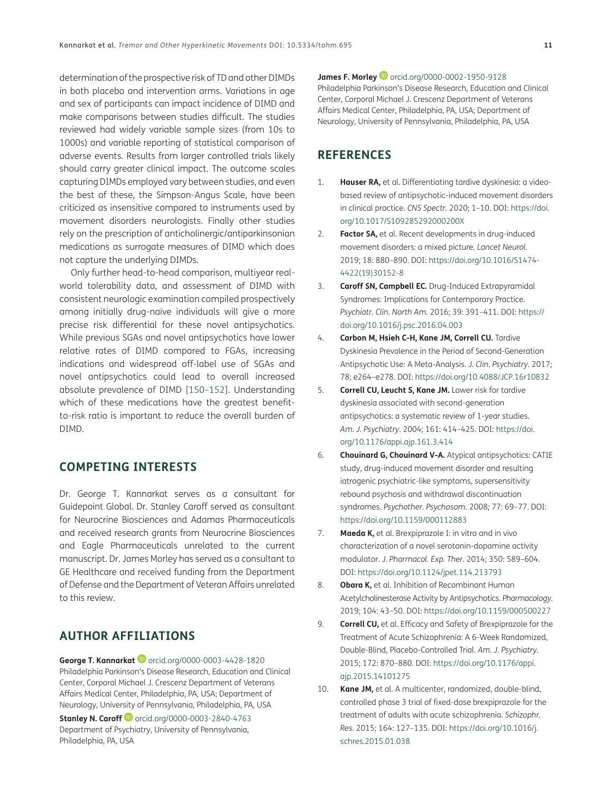determination of the prospective risk of TD and other DIMDs in both placebo and intervention arms. Variations in age and sex of participants can impact incidence of DIMD and make comparisons between studies difficult. The studies reviewed had widely variable sample sizes (from 10s to 1000s) and variable reporting of statistical comparison of adverse events. Results from larger controlled trials likely should carry greater clinical impact. The outcome scales capturing DIMDs employed vary between studies, and even the best of these, the Simpson-Angus Scale, have been criticized as insensitive compared to instruments used by movement disorders neurologists. Finally other studies rely on the prescription of anticholinergic/antiparkinsonian medications as surrogate measures of DIMD which does not capture the underlying DIMDs.

Only further head-to-head comparison, multiyear realworld tolerability data, and assessment of DIMD with consistent neurologic examination compiled prospectively among initially drug-naïve individuals will give a more precise risk differential for these novel antipsychotics. While previous SGAs and novel antipsychotics have lower relative rates of DIMD compared to FGAs, increasing indications and widespread off-label use of SGAs and novel antipsychotics could lead to overall increased absolute prevalence of DIMD [[150](#page-17-12)–[152\]](#page-17-13). Understanding which of these medications have the greatest benefitto-risk ratio is important to reduce the overall burden of DIMD.

#### **COMPETING INTERESTS**

Dr. George T. Kannarkat serves as a consultant for Guidepoint Global. Dr. Stanley Caroff served as consultant for Neurocrine Biosciences and Adamas Pharmaceuticals and received research grants from Neurocrine Biosciences and Eagle Pharmaceuticals unrelated to the current manuscript. Dr. James Morley has served as a consultant to GE Healthcare and received funding from the Department of Defense and the Department of Veteran Affairs unrelated to this review.

#### <span id="page-10-0"></span>**AUTHOR AFFILIATIONS**

**George T. Kannarkat**[orcid.org/0000-0003-4428-1820](https://orcid.org/0000-0003-4428-1820) Philadelphia Parkinson's Disease Research, Education and Clinical Center, Corporal Michael J. Crescenz Department of Veterans Affairs Medical Center, Philadelphia, PA, USA; Department of Neurology, University of Pennsylvania, Philadelphia, PA, USA

**Stanley N. Caroff <sup>1</sup>** [orcid.org/0000-0003-2840-4763](https://orcid.org/0000-0003-2840-4763) Department of Psychiatry, University of Pennsylvania, Philadelphia, PA, USA

**James F. Morley D** [orcid.org/0000-0002-1950-9128](https://orcid.org/0000-0002-1950-9128) Philadelphia Parkinson's Disease Research, Education and Clinical Center, Corporal Michael J. Crescenz Department of Veterans Affairs Medical Center, Philadelphia, PA, USA; Department of Neurology, University of Pennsylvania, Philadelphia, PA, USA

#### **REFERENCES**

- <span id="page-10-1"></span>1. **Hauser RA,** et al. Differentiating tardive dyskinesia: a videobased review of antipsychotic-induced movement disorders in clinical practice. *CNS Spectr.* 2020; 1–10. DOI: [https://doi.](https://doi.org/10.1017/S109285292000200X) [org/10.1017/S109285292000200X](https://doi.org/10.1017/S109285292000200X)
- <span id="page-10-2"></span>2. **Factor SA,** et al. Recent developments in drug-induced movement disorders: a mixed picture. *Lancet Neurol.*  2019; 18: 880–890. DOI: [https://doi.org/10.1016/S1474-](https://doi.org/10.1016/S1474-4422(19)30152-8) [4422\(19\)30152-8](https://doi.org/10.1016/S1474-4422(19)30152-8)
- <span id="page-10-3"></span>3. **Caroff SN, Campbell EC.** Drug-Induced Extrapyramidal Syndromes: Implications for Contemporary Practice. *Psychiatr. Clin. North Am.* 2016; 39: 391–411. DOI: [https://](https://doi.org/10.1016/j.psc.2016.04.003) [doi.org/10.1016/j.psc.2016.04.003](https://doi.org/10.1016/j.psc.2016.04.003)
- <span id="page-10-4"></span>4. **Carbon M, Hsieh C-H, Kane JM, Correll CU.** Tardive Dyskinesia Prevalence in the Period of Second-Generation Antipsychotic Use: A Meta-Analysis. *J. Clin. Psychiatry*. 2017; 78; e264–e278. DOI: <https://doi.org/10.4088/JCP.16r10832>
- <span id="page-10-5"></span>5. **Correll CU, Leucht S, Kane JM.** Lower risk for tardive dyskinesia associated with second-generation antipsychotics: a systematic review of 1-year studies. *Am. J. Psychiatry*. 2004; 161: 414–425. DOI: [https://doi.](https://doi.org/10.1176/appi.ajp.161.3.414) [org/10.1176/appi.ajp.161.3.414](https://doi.org/10.1176/appi.ajp.161.3.414)
- <span id="page-10-6"></span>6. **Chouinard G, Chouinard V-A.** Atypical antipsychotics: CATIE study, drug-induced movement disorder and resulting iatrogenic psychiatric-like symptoms, supersensitivity rebound psychosis and withdrawal discontinuation syndromes. *Psychother. Psychosom*. 2008; 77: 69–77. DOI: <https://doi.org/10.1159/000112883>
- <span id="page-10-7"></span>7. **Maeda K,** et al. Brexpiprazole I: in vitro and in vivo characterization of a novel serotonin-dopamine activity modulator. *J. Pharmacol. Exp. Ther.* 2014; 350: 589–604. DOI: <https://doi.org/10.1124/jpet.114.213793>
- <span id="page-10-8"></span>8. **Obara K,** et al. Inhibition of Recombinant Human Acetylcholinesterase Activity by Antipsychotics. *Pharmacology*. 2019; 104: 43–50. DOI: <https://doi.org/10.1159/000500227>
- <span id="page-10-9"></span>9. **Correll CU,** et al. Efficacy and Safety of Brexpiprazole for the Treatment of Acute Schizophrenia: A 6-Week Randomized, Double-Blind, Placebo-Controlled Trial. *Am. J. Psychiatry*. 2015; 172: 870–880. DOI: [https://doi.org/10.1176/appi.](https://doi.org/10.1176/appi.ajp.2015.14101275) [ajp.2015.14101275](https://doi.org/10.1176/appi.ajp.2015.14101275)
- <span id="page-10-10"></span>10. **Kane JM,** et al. A multicenter, randomized, double-blind, controlled phase 3 trial of fixed-dose brexpiprazole for the treatment of adults with acute schizophrenia. *Schizophr. Res.* 2015; 164: 127–135. DOI: [https://doi.org/10.1016/j.](https://doi.org/10.1016/j.schres.2015.01.038) [schres.2015.01.038](https://doi.org/10.1016/j.schres.2015.01.038)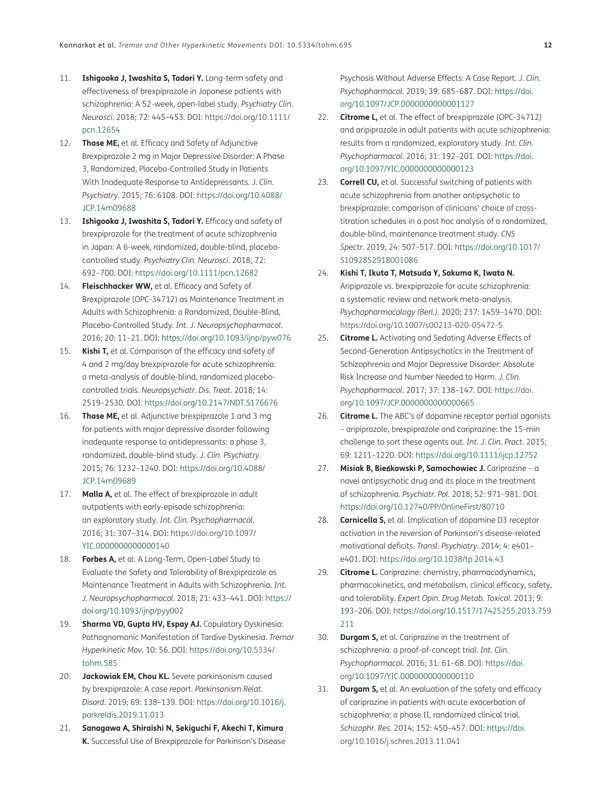- <span id="page-11-0"></span>11. **Ishigooka J, Iwashita S, Tadori Y.** Long-term safety and effectiveness of brexpiprazole in Japanese patients with schizophrenia: A 52-week, open-label study. *Psychiatry Clin. Neurosci.* 2018; 72: 445–453. DOI: [https://doi.org/10.1111/](https://doi.org/10.1111/pcn.12654) [pcn.12654](https://doi.org/10.1111/pcn.12654)
- <span id="page-11-1"></span>12. **Thase ME,** et al. Efficacy and Safety of Adjunctive Brexpiprazole 2 mg in Major Depressive Disorder: A Phase 3, Randomized, Placebo-Controlled Study in Patients With Inadequate Response to Antidepressants. *J. Clin. Psychiatry*. 2015; 76: 6108. DOI: [https://doi.org/10.4088/](https://doi.org/10.4088/JCP.14m09688) [JCP.14m09688](https://doi.org/10.4088/JCP.14m09688)
- <span id="page-11-2"></span>13. **Ishigooka J, Iwashita S, Tadori Y.** Efficacy and safety of brexpiprazole for the treatment of acute schizophrenia in Japan: A 6-week, randomized, double-blind, placebocontrolled study. *Psychiatry Clin. Neurosci*. 2018; 72: 692–700. DOI:<https://doi.org/10.1111/pcn.12682>
- <span id="page-11-3"></span>14. **Fleischhacker WW,** et al. Efficacy and Safety of Brexpiprazole (OPC-34712) as Maintenance Treatment in Adults with Schizophrenia: a Randomized, Double-Blind, Placebo-Controlled Study. *Int. J. Neuropsychopharmacol.* 2016; 20: 11–21. DOI:<https://doi.org/10.1093/ijnp/pyw076>
- <span id="page-11-4"></span>15. **Kishi T,** et al. Comparison of the efficacy and safety of 4 and 2 mg/day brexpiprazole for acute schizophrenia: a meta-analysis of double-blind, randomized placebocontrolled trials. *Neuropsychiatr. Dis. Treat.* 2018; 14: 2519–2530. DOI:<https://doi.org/10.2147/NDT.S176676>
- <span id="page-11-5"></span>16. **Thase ME,** et al. Adjunctive brexpiprazole 1 and 3 mg for patients with major depressive disorder following inadequate response to antidepressants: a phase 3, randomized, double-blind study. *J. Clin. Psychiatry*. 2015; 76: 1232–1240. DOI: [https://doi.org/10.4088/](https://doi.org/10.4088/JCP.14m09689) [JCP.14m09689](https://doi.org/10.4088/JCP.14m09689)
- <span id="page-11-6"></span>17. **Malla A,** et al. The effect of brexpiprazole in adult outpatients with early-episode schizophrenia: an exploratory study. *Int. Clin. Psychopharmacol*. 2016; 31: 307–314. DOI: [https://doi.org/10.1097/](https://doi.org/10.1097/YIC.0000000000000140) [YIC.0000000000000140](https://doi.org/10.1097/YIC.0000000000000140)
- <span id="page-11-7"></span>18. **Forbes A,** et al. A Long-Term, Open-Label Study to Evaluate the Safety and Tolerability of Brexpiprazole as Maintenance Treatment in Adults with Schizophrenia. *Int. J. Neuropsychopharmacol*. 2018; 21: 433–441. DOI: [https://](https://doi.org/10.1093/ijnp/pyy002) [doi.org/10.1093/ijnp/pyy002](https://doi.org/10.1093/ijnp/pyy002)
- <span id="page-11-8"></span>19. **Sharma VD, Gupta HV, Espay AJ.** Copulatory Dyskinesia: Pathognomonic Manifestation of Tardive Dyskinesia. *Tremor Hyperkinetic Mov.* 10: 56. DOI: [https://doi.org/10.5334/](https://doi.org/10.5334/tohm.585) [tohm.585](https://doi.org/10.5334/tohm.585)
- <span id="page-11-9"></span>20. **Jackowiak EM, Chou KL.** Severe parkinsonism caused by brexpiprazole: A case report. *Parkinsonism Relat. Disord*. 2019; 69: 138–139. DOI: [https://doi.org/10.1016/j.](https://doi.org/10.1016/j.parkreldis.2019.11.013) [parkreldis.2019.11.013](https://doi.org/10.1016/j.parkreldis.2019.11.013)
- <span id="page-11-10"></span>21. **Sanagawa A, Shiraishi N, Sekiguchi F, Akechi T, Kimura K.** Successful Use of Brexpiprazole for Parkinson's Disease

Psychosis Without Adverse Effects: A Case Report. *J. Clin. Psychopharmacol*. 2019; 39: 685–687. DOI: [https://doi.](https://doi.org/10.1097/JCP.0000000000001127) [org/10.1097/JCP.0000000000001127](https://doi.org/10.1097/JCP.0000000000001127)

- <span id="page-11-11"></span>22. **Citrome L,** et al. The effect of brexpiprazole (OPC-34712) and aripiprazole in adult patients with acute schizophrenia: results from a randomized, exploratory study. *Int. Clin. Psychopharmacol*. 2016; 31: 192–201. DOI: [https://doi.](https://doi.org/10.1097/YIC.0000000000000123) [org/10.1097/YIC.0000000000000123](https://doi.org/10.1097/YIC.0000000000000123)
- <span id="page-11-12"></span>23. **Correll CU,** et al. Successful switching of patients with acute schizophrenia from another antipsychotic to brexpiprazole: comparison of clinicians' choice of crosstitration schedules in a post hoc analysis of a randomized, double-blind, maintenance treatment study. *CNS Spectr*. 2019; 24: 507–517. DOI: [https://doi.org/10.1017/](https://doi.org/10.1017/S1092852918001086) [S1092852918001086](https://doi.org/10.1017/S1092852918001086)
- <span id="page-11-13"></span>24. **Kishi T, Ikuta T, Matsuda Y, Sakuma K, Iwata N.** Aripiprazole vs. brexpiprazole for acute schizophrenia: a systematic review and network meta-analysis. *Psychopharmacology (Berl.)*. 2020; 237: 1459–1470. DOI: <https://doi.org/10.1007/s00213-020-05472-5>
- <span id="page-11-14"></span>25. **Citrome L.** Activating and Sedating Adverse Effects of Second-Generation Antipsychotics in the Treatment of Schizophrenia and Major Depressive Disorder: Absolute Risk Increase and Number Needed to Harm. *J. Clin. Psychopharmacol*. 2017; 37: 138–147. DOI: [https://doi.](https://doi.org/10.1097/JCP.0000000000000665) [org/10.1097/JCP.0000000000000665](https://doi.org/10.1097/JCP.0000000000000665)
- <span id="page-11-15"></span>26. **Citrome L.** The ABC's of dopamine receptor partial agonists – aripiprazole, brexpiprazole and cariprazine: the 15-min challenge to sort these agents out. *Int. J. Clin. Pract*. 2015; 69: 1211–1220. DOI:<https://doi.org/10.1111/ijcp.12752>
- <span id="page-11-16"></span>27. **Misiak B, Bie**ń**kowski P, Samochowiec J.** Cariprazine – a novel antipsychotic drug and its place in the treatment of schizophrenia. *Psychiatr. Pol*. 2018; 52: 971–981. DOI: <https://doi.org/10.12740/PP/OnlineFirst/80710>
- <span id="page-11-17"></span>28. **Carnicella S,** et al. Implication of dopamine D3 receptor activation in the reversion of Parkinson's disease-related motivational deficits. *Transl. Psychiatry*. 2014; 4: e401– e401. DOI: <https://doi.org/10.1038/tp.2014.43>
- <span id="page-11-18"></span>29. **Citrome L.** Cariprazine: chemistry, pharmacodynamics, pharmacokinetics, and metabolism, clinical efficacy, safety, and tolerability. *Expert Opin. Drug Metab. Toxicol*. 2013; 9: 193–206. DOI: [https://doi.org/10.1517/17425255.2013.759](https://doi.org/10.1517/17425255.2013.759211) [211](https://doi.org/10.1517/17425255.2013.759211)
- <span id="page-11-19"></span>30. **Durgam S,** et al. Cariprazine in the treatment of schizophrenia: a proof-of-concept trial. *Int. Clin. Psychopharmacol*. 2016; 31: 61–68. DOI: [https://doi.](https://doi.org/10.1097/YIC.0000000000000110) [org/10.1097/YIC.0000000000000110](https://doi.org/10.1097/YIC.0000000000000110)
- <span id="page-11-20"></span>31. **Durgam S,** et al. An evaluation of the safety and efficacy of cariprazine in patients with acute exacerbation of schizophrenia: a phase II, randomized clinical trial. *Schizophr. Res*. 2014; 152: 450–457. DOI: [https://doi.](https://doi.org/10.1016/j.schres.2013.11.041) [org/10.1016/j.schres.2013.11.041](https://doi.org/10.1016/j.schres.2013.11.041)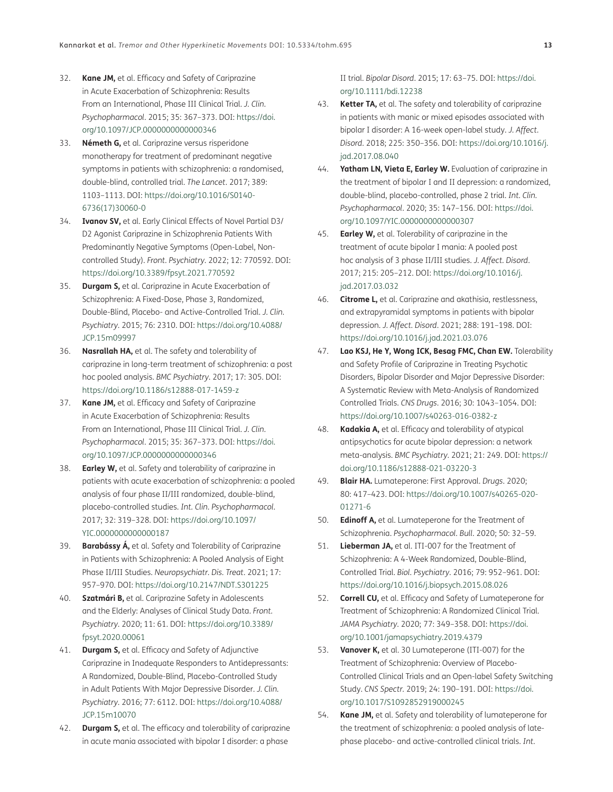- <span id="page-12-0"></span>32. **Kane JM,** et al. Efficacy and Safety of Cariprazine in Acute Exacerbation of Schizophrenia: Results From an International, Phase III Clinical Trial. *J. Clin. Psychopharmacol*. 2015; 35: 367–373. DOI: [https://doi.](https://doi.org/10.1097/JCP.0000000000000346) [org/10.1097/JCP.0000000000000346](https://doi.org/10.1097/JCP.0000000000000346)
- <span id="page-12-1"></span>33. **Németh G,** et al. Cariprazine versus risperidone monotherapy for treatment of predominant negative symptoms in patients with schizophrenia: a randomised, double-blind, controlled trial. *The Lancet*. 2017; 389: 1103–1113. DOI: [https://doi.org/10.1016/S0140-](https://doi.org/10.1016/S0140-6736(17)30060-0) [6736\(17\)30060-0](https://doi.org/10.1016/S0140-6736(17)30060-0)
- <span id="page-12-2"></span>34. **Ivanov SV,** et al. Early Clinical Effects of Novel Partial D3/ D2 Agonist Cariprazine in Schizophrenia Patients With Predominantly Negative Symptoms (Open-Label, Noncontrolled Study). *Front. Psychiatry*. 2022; 12: 770592. DOI: <https://doi.org/10.3389/fpsyt.2021.770592>
- <span id="page-12-3"></span>35. **Durgam S,** et al. Cariprazine in Acute Exacerbation of Schizophrenia: A Fixed-Dose, Phase 3, Randomized, Double-Blind, Placebo- and Active-Controlled Trial. *J. Clin. Psychiatry*. 2015; 76: 2310. DOI: [https://doi.org/10.4088/](https://doi.org/10.4088/JCP.15m09997) [JCP.15m09997](https://doi.org/10.4088/JCP.15m09997)
- <span id="page-12-5"></span>36. **Nasrallah HA,** et al. The safety and tolerability of cariprazine in long-term treatment of schizophrenia: a post hoc pooled analysis. *BMC Psychiatry*. 2017; 17: 305. DOI: <https://doi.org/10.1186/s12888-017-1459-z>
- <span id="page-12-4"></span>37. **Kane JM,** et al. Efficacy and Safety of Cariprazine in Acute Exacerbation of Schizophrenia: Results From an International, Phase III Clinical Trial. *J. Clin. Psychopharmacol*. 2015; 35: 367–373. DOI: [https://doi.](https://doi.org/10.1097/JCP.0000000000000346) [org/10.1097/JCP.0000000000000346](https://doi.org/10.1097/JCP.0000000000000346)
- <span id="page-12-6"></span>38. **Earley W,** et al. Safety and tolerability of cariprazine in patients with acute exacerbation of schizophrenia: a pooled analysis of four phase II/III randomized, double-blind, placebo-controlled studies. *Int. Clin. Psychopharmacol*. 2017; 32: 319–328. DOI: [https://doi.org/10.1097/](https://doi.org/10.1097/YIC.0000000000000187) [YIC.0000000000000187](https://doi.org/10.1097/YIC.0000000000000187)
- <span id="page-12-7"></span>39. **Barabássy Á,** et al. Safety and Tolerability of Cariprazine in Patients with Schizophrenia: A Pooled Analysis of Eight Phase II/III Studies. *Neuropsychiatr. Dis. Treat*. 2021; 17: 957–970. DOI:<https://doi.org/10.2147/NDT.S301225>
- <span id="page-12-8"></span>40. **Szatmári B,** et al. Cariprazine Safety in Adolescents and the Elderly: Analyses of Clinical Study Data. *Front. Psychiatry*. 2020; 11: 61. DOI: [https://doi.org/10.3389/](https://doi.org/10.3389/fpsyt.2020.00061) [fpsyt.2020.00061](https://doi.org/10.3389/fpsyt.2020.00061)
- <span id="page-12-9"></span>41. **Durgam S,** et al. Efficacy and Safety of Adjunctive Cariprazine in Inadequate Responders to Antidepressants: A Randomized, Double-Blind, Placebo-Controlled Study in Adult Patients With Major Depressive Disorder. *J. Clin. Psychiatry*. 2016; 77: 6112. DOI: [https://doi.org/10.4088/](https://doi.org/10.4088/JCP.15m10070) [JCP.15m10070](https://doi.org/10.4088/JCP.15m10070)
- <span id="page-12-10"></span>42. **Durgam S,** et al. The efficacy and tolerability of cariprazine in acute mania associated with bipolar I disorder: a phase

II trial. *Bipolar Disord*. 2015; 17: 63–75. DOI: [https://doi.](https://doi.org/10.1111/bdi.12238) [org/10.1111/bdi.12238](https://doi.org/10.1111/bdi.12238)

- 43. **Ketter TA,** et al. The safety and tolerability of cariprazine in patients with manic or mixed episodes associated with bipolar I disorder: A 16-week open-label study. *J. Affect. Disord*. 2018; 225: 350–356. DOI: [https://doi.org/10.1016/j.](https://doi.org/10.1016/j.jad.2017.08.040) [jad.2017.08.040](https://doi.org/10.1016/j.jad.2017.08.040)
- <span id="page-12-11"></span>44. **Yatham LN, Vieta E, Earley W.** Evaluation of cariprazine in the treatment of bipolar I and II depression: a randomized, double-blind, placebo-controlled, phase 2 trial. *Int. Clin. Psychopharmacol*. 2020; 35: 147–156. DOI: [https://doi.](https://doi.org/10.1097/YIC.0000000000000307) [org/10.1097/YIC.0000000000000307](https://doi.org/10.1097/YIC.0000000000000307)
- <span id="page-12-12"></span>45. **Earley W,** et al. Tolerability of cariprazine in the treatment of acute bipolar I mania: A pooled post hoc analysis of 3 phase II/III studies. *J. Affect. Disord*. 2017; 215: 205–212. DOI: [https://doi.org/10.1016/j.](https://doi.org/10.1016/j.jad.2017.03.032) [jad.2017.03.032](https://doi.org/10.1016/j.jad.2017.03.032)
- <span id="page-12-13"></span>46. **Citrome L,** et al. Cariprazine and akathisia, restlessness, and extrapyramidal symptoms in patients with bipolar depression. *J. Affect. Disord*. 2021; 288: 191–198. DOI: <https://doi.org/10.1016/j.jad.2021.03.076>
- <span id="page-12-14"></span>47. **Lao KSJ, He Y, Wong ICK, Besag FMC, Chan EW.** Tolerability and Safety Profile of Cariprazine in Treating Psychotic Disorders, Bipolar Disorder and Major Depressive Disorder: A Systematic Review with Meta-Analysis of Randomized Controlled Trials. *CNS Drugs*. 2016; 30: 1043–1054. DOI: <https://doi.org/10.1007/s40263-016-0382-z>
- <span id="page-12-15"></span>48. **Kadakia A,** et al. Efficacy and tolerability of atypical antipsychotics for acute bipolar depression: a network meta-analysis. *BMC Psychiatry*. 2021; 21: 249. DOI: [https://](https://doi.org/10.1186/s12888-021-03220-3) [doi.org/10.1186/s12888-021-03220-3](https://doi.org/10.1186/s12888-021-03220-3)
- <span id="page-12-16"></span>49. **Blair HA.** Lumateperone: First Approval. *Drugs*. 2020; 80: 417–423. DOI: [https://doi.org/10.1007/s40265-020-](https://doi.org/10.1007/s40265-020-01271-6) [01271-6](https://doi.org/10.1007/s40265-020-01271-6)
- <span id="page-12-17"></span>50. **Edinoff A,** et al. Lumateperone for the Treatment of Schizophrenia. *Psychopharmacol. Bull*. 2020; 50: 32–59.
- <span id="page-12-18"></span>51. **Lieberman JA,** et al. ITI-007 for the Treatment of Schizophrenia: A 4-Week Randomized, Double-Blind, Controlled Trial. *Biol. Psychiatry*. 2016; 79: 952–961. DOI: <https://doi.org/10.1016/j.biopsych.2015.08.026>
- <span id="page-12-19"></span>52. **Correll CU,** et al. Efficacy and Safety of Lumateperone for Treatment of Schizophrenia: A Randomized Clinical Trial. *JAMA Psychiatry*. 2020; 77: 349–358. DOI: [https://doi.](https://doi.org/10.1001/jamapsychiatry.2019.4379) [org/10.1001/jamapsychiatry.2019.4379](https://doi.org/10.1001/jamapsychiatry.2019.4379)
- <span id="page-12-20"></span>53. **Vanover K,** et al. 30 Lumateperone (ITI-007) for the Treatment of Schizophrenia: Overview of Placebo-Controlled Clinical Trials and an Open-label Safety Switching Study. *CNS Spectr.* 2019; 24: 190–191. DOI: [https://doi.](https://doi.org/10.1017/S1092852919000245) [org/10.1017/S1092852919000245](https://doi.org/10.1017/S1092852919000245)
- <span id="page-12-21"></span>54. **Kane JM,** et al. Safety and tolerability of lumateperone for the treatment of schizophrenia: a pooled analysis of latephase placebo- and active-controlled clinical trials. *Int.*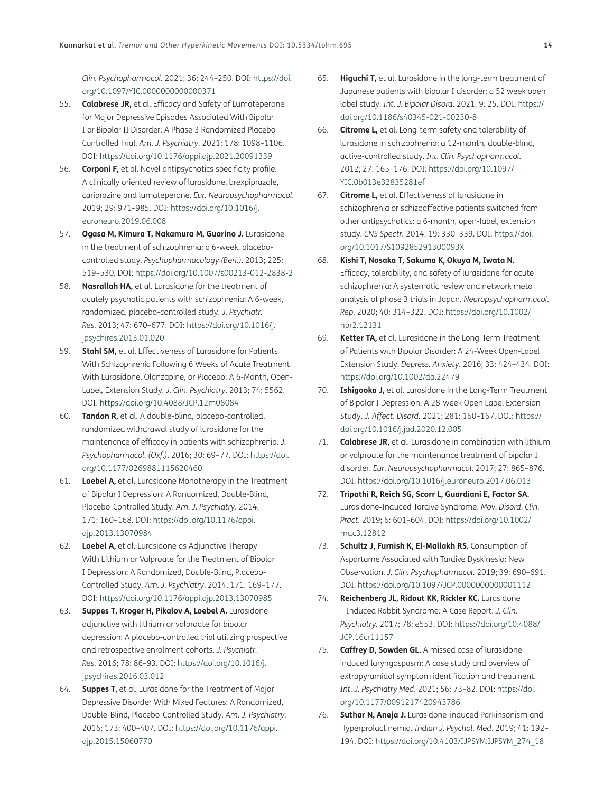*Clin. Psychopharmacol.* 2021; 36: 244–250. DOI: [https://doi.](https://doi.org/10.1097/YIC.0000000000000371) [org/10.1097/YIC.0000000000000371](https://doi.org/10.1097/YIC.0000000000000371)

- <span id="page-13-0"></span>55. **Calabrese JR,** et al. Efficacy and Safety of Lumateperone for Major Depressive Episodes Associated With Bipolar I or Bipolar II Disorder: A Phase 3 Randomized Placebo-Controlled Trial. *Am. J. Psychiatry*. 2021; 178: 1098–1106. DOI: <https://doi.org/10.1176/appi.ajp.2021.20091339>
- <span id="page-13-1"></span>56. **Corponi F,** et al. Novel antipsychotics specificity profile: A clinically oriented review of lurasidone, brexpiprazole, cariprazine and lumateperone. *Eur. Neuropsychopharmacol.* 2019; 29: 971–985. DOI: [https://doi.org/10.1016/j.](https://doi.org/10.1016/j.euroneuro.2019.06.008) [euroneuro.2019.06.008](https://doi.org/10.1016/j.euroneuro.2019.06.008)
- <span id="page-13-2"></span>57. **Ogasa M, Kimura T, Nakamura M, Guarino J.** Lurasidone in the treatment of schizophrenia: a 6-week, placebocontrolled study. *Psychopharmacology (Berl.)*. 2013; 225: 519–530. DOI:<https://doi.org/10.1007/s00213-012-2838-2>
- <span id="page-13-4"></span>58. **Nasrallah HA,** et al. Lurasidone for the treatment of acutely psychotic patients with schizophrenia: A 6-week, randomized, placebo-controlled study. *J. Psychiatr. Res.* 2013; 47: 670–677. DOI: [https://doi.org/10.1016/j.](https://doi.org/10.1016/j.jpsychires.2013.01.020) [jpsychires.2013.01.020](https://doi.org/10.1016/j.jpsychires.2013.01.020)
- 59. **Stahl SM,** et al. Effectiveness of Lurasidone for Patients With Schizophrenia Following 6 Weeks of Acute Treatment With Lurasidone, Olanzapine, or Placebo: A 6-Month, Open-Label, Extension Study. *J. Clin. Psychiatry*. 2013; 74: 5562. DOI: <https://doi.org/10.4088/JCP.12m08084>
- <span id="page-13-3"></span>60. **Tandon R,** et al. A double-blind, placebo-controlled, randomized withdrawal study of lurasidone for the maintenance of efficacy in patients with schizophrenia. *J. Psychopharmacol. (Oxf.)*. 2016; 30: 69–77. DOI: [https://doi.](https://doi.org/10.1177/0269881115620460) [org/10.1177/0269881115620460](https://doi.org/10.1177/0269881115620460)
- <span id="page-13-5"></span>61. **Loebel A,** et al. Lurasidone Monotherapy in the Treatment of Bipolar I Depression: A Randomized, Double-Blind, Placebo-Controlled Study. *Am. J. Psychiatry*. 2014; 171: 160–168. DOI: [https://doi.org/10.1176/appi.](https://doi.org/10.1176/appi.ajp.2013.13070984) [ajp.2013.13070984](https://doi.org/10.1176/appi.ajp.2013.13070984)
- <span id="page-13-7"></span>62. **Loebel A,** et al. Lurasidone as Adjunctive Therapy With Lithium or Valproate for the Treatment of Bipolar I Depression: A Randomized, Double-Blind, Placebo-Controlled Study. *Am. J. Psychiatry*. 2014; 171: 169–177. DOI: <https://doi.org/10.1176/appi.ajp.2013.13070985>
- <span id="page-13-6"></span>63. **Suppes T, Kroger H, Pikalov A, Loebel A.** Lurasidone adjunctive with lithium or valproate for bipolar depression: A placebo-controlled trial utilizing prospective and retrospective enrolment cohorts. *J. Psychiatr. Res.* 2016; 78: 86–93. DOI: [https://doi.org/10.1016/j.](https://doi.org/10.1016/j.jpsychires.2016.03.012) [jpsychires.2016.03.012](https://doi.org/10.1016/j.jpsychires.2016.03.012)
- <span id="page-13-8"></span>64. **Suppes T,** et al. Lurasidone for the Treatment of Major Depressive Disorder With Mixed Features: A Randomized, Double-Blind, Placebo-Controlled Study. *Am. J. Psychiatry*. 2016; 173: 400–407. DOI: [https://doi.org/10.1176/appi.](https://doi.org/10.1176/appi.ajp.2015.15060770) [ajp.2015.15060770](https://doi.org/10.1176/appi.ajp.2015.15060770)
- <span id="page-13-9"></span>65. **Higuchi T,** et al. Lurasidone in the long-term treatment of Japanese patients with bipolar I disorder: a 52 week open label study. *Int. J. Bipolar Disord.* 2021; 9: 25. DOI: [https://](https://doi.org/10.1186/s40345-021-00230-8) [doi.org/10.1186/s40345-021-00230-8](https://doi.org/10.1186/s40345-021-00230-8)
- <span id="page-13-10"></span>66. **Citrome L,** et al. Long-term safety and tolerability of lurasidone in schizophrenia: a 12-month, double-blind, active-controlled study. *Int. Clin. Psychopharmacol.* 2012; 27: 165–176. DOI: [https://doi.org/10.1097/](https://doi.org/10.1097/YIC.0b013e32835281ef) [YIC.0b013e32835281ef](https://doi.org/10.1097/YIC.0b013e32835281ef)
- <span id="page-13-11"></span>67. **Citrome L,** et al. Effectiveness of lurasidone in schizophrenia or schizoaffective patients switched from other antipsychotics: a 6-month, open-label, extension study. *CNS Spectr.* 2014; 19: 330–339. DOI: [https://doi.](https://doi.org/10.1017/S109285291300093X) [org/10.1017/S109285291300093X](https://doi.org/10.1017/S109285291300093X)
- <span id="page-13-12"></span>68. **Kishi T, Nosaka T, Sakuma K, Okuya M, Iwata N.** Efficacy, tolerability, and safety of lurasidone for acute schizophrenia: A systematic review and network meta‐ analysis of phase 3 trials in Japan. *Neuropsychopharmacol. Rep.* 2020; 40: 314–322. DOI: [https://doi.org/10.1002/](https://doi.org/10.1002/npr2.12131) [npr2.12131](https://doi.org/10.1002/npr2.12131)
- <span id="page-13-13"></span>69. **Ketter TA,** et al. Lurasidone in the Long-Term Treatment of Patients with Bipolar Disorder: A 24-Week Open-Label Extension Study. *Depress. Anxiety*. 2016; 33: 424–434. DOI: <https://doi.org/10.1002/da.22479>
- <span id="page-13-14"></span>70. **Ishigooka J,** et al. Lurasidone in the Long-Term Treatment of Bipolar I Depression: A 28-week Open Label Extension Study. *J. Affect. Disord.* 2021; 281: 160–167. DOI: [https://](https://doi.org/10.1016/j.jad.2020.12.005) [doi.org/10.1016/j.jad.2020.12.005](https://doi.org/10.1016/j.jad.2020.12.005)
- <span id="page-13-15"></span>71. **Calabrese JR,** et al. Lurasidone in combination with lithium or valproate for the maintenance treatment of bipolar I disorder. *Eur. Neuropsychopharmacol.* 2017; 27: 865–876. DOI: <https://doi.org/10.1016/j.euroneuro.2017.06.013>
- <span id="page-13-16"></span>72. **Tripathi R, Reich SG, Scorr L, Guardiani E, Factor SA.**  Lurasidone‐Induced Tardive Syndrome. *Mov. Disord. Clin. Pract.* 2019; 6: 601–604. DOI: [https://doi.org/10.1002/](https://doi.org/10.1002/mdc3.12812) [mdc3.12812](https://doi.org/10.1002/mdc3.12812)
- 73. **Schultz J, Furnish K, El-Mallakh RS.** Consumption of Aspartame Associated with Tardive Dyskinesia: New Observation. *J. Clin. Psychopharmacol.* 2019; 39: 690–691. DOI: <https://doi.org/10.1097/JCP.0000000000001112>
- 74. **Reichenberg JL, Ridout KK, Rickler KC.** Lurasidone – Induced Rabbit Syndrome: A Case Report. *J. Clin. Psychiatry*. 2017; 78: e553. DOI: [https://doi.org/10.4088/](https://doi.org/10.4088/JCP.16cr11157) [JCP.16cr11157](https://doi.org/10.4088/JCP.16cr11157)
- 75. **Caffrey D, Sowden GL.** A missed case of lurasidone induced laryngospasm: A case study and overview of extrapyramidal symptom identification and treatment. *Int. J. Psychiatry Med.* 2021; 56: 73–82. DOI: [https://doi.](https://doi.org/10.1177/0091217420943786) [org/10.1177/0091217420943786](https://doi.org/10.1177/0091217420943786)
- <span id="page-13-17"></span>76. **Suthar N, Aneja J.** Lurasidone-induced Parkinsonism and Hyperprolactinemia. *Indian J. Psychol. Med*. 2019; 41: 192– 194. DOI: [https://doi.org/10.4103/IJPSYM.IJPSYM\\_274\\_18](https://doi.org/10.4103/IJPSYM.IJPSYM_274_18)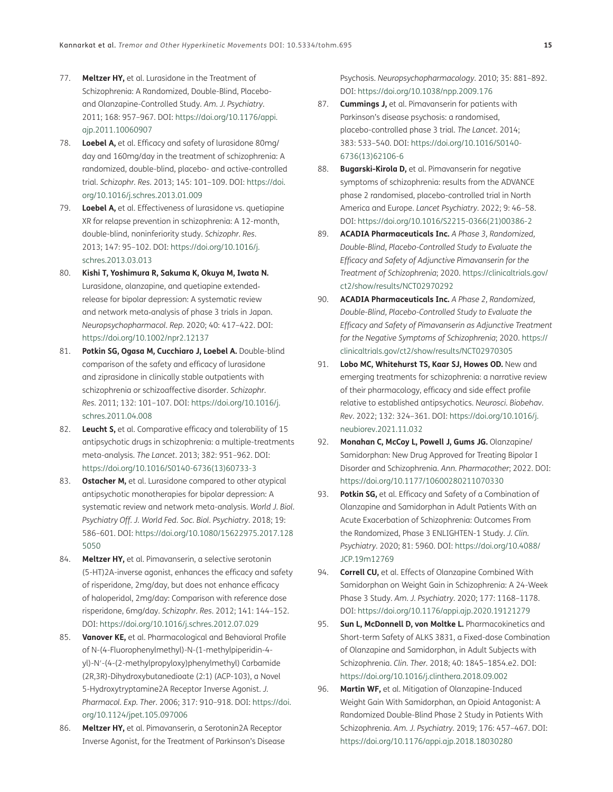- <span id="page-14-0"></span>77. **Meltzer HY,** et al. Lurasidone in the Treatment of Schizophrenia: A Randomized, Double-Blind, Placeboand Olanzapine-Controlled Study. *Am. J. Psychiatry*. 2011; 168: 957–967. DOI: [https://doi.org/10.1176/appi.](https://doi.org/10.1176/appi.ajp.2011.10060907) [ajp.2011.10060907](https://doi.org/10.1176/appi.ajp.2011.10060907)
- <span id="page-14-1"></span>78. **Loebel A,** et al. Efficacy and safety of lurasidone 80mg/ day and 160mg/day in the treatment of schizophrenia: A randomized, double-blind, placebo- and active-controlled trial. *Schizophr. Res.* 2013; 145: 101–109. DOI: [https://doi.](https://doi.org/10.1016/j.schres.2013.01.009) [org/10.1016/j.schres.2013.01.009](https://doi.org/10.1016/j.schres.2013.01.009)
- <span id="page-14-2"></span>79. **Loebel A,** et al. Effectiveness of lurasidone vs. quetiapine XR for relapse prevention in schizophrenia: A 12-month, double-blind, noninferiority study. *Schizophr. Res*. 2013; 147: 95–102. DOI: [https://doi.org/10.1016/j.](https://doi.org/10.1016/j.schres.2013.03.013) [schres.2013.03.013](https://doi.org/10.1016/j.schres.2013.03.013)
- <span id="page-14-3"></span>80. **Kishi T, Yoshimura R, Sakuma K, Okuya M, Iwata N.**  Lurasidone, olanzapine, and quetiapine extended‐ release for bipolar depression: A systematic review and network meta‐analysis of phase 3 trials in Japan. *Neuropsychopharmacol. Rep*. 2020; 40: 417–422. DOI: <https://doi.org/10.1002/npr2.12137>
- <span id="page-14-4"></span>81. **Potkin SG, Ogasa M, Cucchiaro J, Loebel A.** Double-blind comparison of the safety and efficacy of lurasidone and ziprasidone in clinically stable outpatients with schizophrenia or schizoaffective disorder. *Schizophr. Res*. 2011; 132: 101–107. DOI: [https://doi.org/10.1016/j.](https://doi.org/10.1016/j.schres.2011.04.008) [schres.2011.04.008](https://doi.org/10.1016/j.schres.2011.04.008)
- <span id="page-14-5"></span>82. **Leucht S,** et al. Comparative efficacy and tolerability of 15 antipsychotic drugs in schizophrenia: a multiple-treatments meta-analysis. *The Lancet*. 2013; 382: 951–962. DOI: [https://doi.org/10.1016/S0140-6736\(13\)60733-3](https://doi.org/10.1016/S0140-6736(13)60733-3)
- <span id="page-14-6"></span>83. **Ostacher M,** et al. Lurasidone compared to other atypical antipsychotic monotherapies for bipolar depression: A systematic review and network meta-analysis. *World J. Biol. Psychiatry Off. J. World Fed. Soc. Biol. Psychiatry*. 2018; 19: 586–601. DOI: [https://doi.org/10.1080/15622975.2017.128](https://doi.org/10.1080/15622975.2017.1285050) [5050](https://doi.org/10.1080/15622975.2017.1285050)
- <span id="page-14-7"></span>84. **Meltzer HY,** et al. Pimavanserin, a selective serotonin (5-HT)2A-inverse agonist, enhances the efficacy and safety of risperidone, 2mg/day, but does not enhance efficacy of haloperidol, 2mg/day: Comparison with reference dose risperidone, 6mg/day. *Schizophr. Res*. 2012; 141: 144–152. DOI: <https://doi.org/10.1016/j.schres.2012.07.029>
- <span id="page-14-8"></span>85. **Vanover KE,** et al. Pharmacological and Behavioral Profile of N-(4-Fluorophenylmethyl)-N-(1-methylpiperidin-4 yl)-N′-(4-(2-methylpropyloxy)phenylmethyl) Carbamide (2R,3R)-Dihydroxybutanedioate (2:1) (ACP-103), a Novel 5-Hydroxytryptamine2A Receptor Inverse Agonist. *J. Pharmacol. Exp. Ther*. 2006; 317: 910–918. DOI: [https://doi.](https://doi.org/10.1124/jpet.105.097006) [org/10.1124/jpet.105.097006](https://doi.org/10.1124/jpet.105.097006)
- <span id="page-14-9"></span>86. **Meltzer HY,** et al. Pimavanserin, a Serotonin2A Receptor Inverse Agonist, for the Treatment of Parkinson's Disease

Psychosis. *Neuropsychopharmacology*. 2010; 35: 881–892. DOI: <https://doi.org/10.1038/npp.2009.176>

- <span id="page-14-10"></span>87. **Cummings J,** et al. Pimavanserin for patients with Parkinson's disease psychosis: a randomised, placebo-controlled phase 3 trial. *The Lancet*. 2014; 383: 533–540. DOI: [https://doi.org/10.1016/S0140-](https://doi.org/10.1016/S0140-6736(13)62106-6) [6736\(13\)62106-6](https://doi.org/10.1016/S0140-6736(13)62106-6)
- <span id="page-14-11"></span>88. **Bugarski-Kirola D,** et al. Pimavanserin for negative symptoms of schizophrenia: results from the ADVANCE phase 2 randomised, placebo-controlled trial in North America and Europe. *Lancet Psychiatry*. 2022; 9: 46–58. DOI: [https://doi.org/10.1016/S2215-0366\(21\)00386-2](https://doi.org/10.1016/S2215-0366(21)00386-2)
- 89. **ACADIA Pharmaceuticals Inc.** *A Phase 3, Randomized, Double-Blind, Placebo-Controlled Study to Evaluate the Efficacy and Safety of Adjunctive Pimavanserin for the Treatment of Schizophrenia*; 2020. [https://clinicaltrials.gov/](https://clinicaltrials.gov/ct2/show/results/NCT02970292) [ct2/show/results/NCT02970292](https://clinicaltrials.gov/ct2/show/results/NCT02970292)
- 90. **ACADIA Pharmaceuticals Inc.** *A Phase 2, Randomized, Double-Blind, Placebo-Controlled Study to Evaluate the Efficacy and Safety of Pimavanserin as Adjunctive Treatment for the Negative Symptoms of Schizophrenia*; 2020. [https://](https://clinicaltrials.gov/ct2/show/results/NCT02970305) [clinicaltrials.gov/ct2/show/results/NCT02970305](https://clinicaltrials.gov/ct2/show/results/NCT02970305)
- <span id="page-14-12"></span>91. **Lobo MC, Whitehurst TS, Kaar SJ, Howes OD.** New and emerging treatments for schizophrenia: a narrative review of their pharmacology, efficacy and side effect profile relative to established antipsychotics. *Neurosci. Biobehav. Rev*. 2022; 132: 324–361. DOI: [https://doi.org/10.1016/j.](https://doi.org/10.1016/j.neubiorev.2021.11.032) [neubiorev.2021.11.032](https://doi.org/10.1016/j.neubiorev.2021.11.032)
- <span id="page-14-13"></span>92. **Monahan C, McCoy L, Powell J, Gums JG.** Olanzapine/ Samidorphan: New Drug Approved for Treating Bipolar I Disorder and Schizophrenia. *Ann. Pharmacother*; 2022. DOI: <https://doi.org/10.1177/10600280211070330>
- <span id="page-14-14"></span>93. **Potkin SG,** et al. Efficacy and Safety of a Combination of Olanzapine and Samidorphan in Adult Patients With an Acute Exacerbation of Schizophrenia: Outcomes From the Randomized, Phase 3 ENLIGHTEN-1 Study. *J. Clin. Psychiatry*. 2020; 81: 5960. DOI: [https://doi.org/10.4088/](https://doi.org/10.4088/JCP.19m12769) [JCP.19m12769](https://doi.org/10.4088/JCP.19m12769)
- <span id="page-14-15"></span>94. **Correll CU,** et al. Effects of Olanzapine Combined With Samidorphan on Weight Gain in Schizophrenia: A 24-Week Phase 3 Study. *Am. J. Psychiatry*. 2020; 177: 1168–1178. DOI: <https://doi.org/10.1176/appi.ajp.2020.19121279>
- 95. **Sun L, McDonnell D, von Moltke L.** Pharmacokinetics and Short-term Safety of ALKS 3831, a Fixed-dose Combination of Olanzapine and Samidorphan, in Adult Subjects with Schizophrenia. *Clin. Ther*. 2018; 40: 1845–1854.e2. DOI: <https://doi.org/10.1016/j.clinthera.2018.09.002>
- 96. **Martin WF,** et al. Mitigation of Olanzapine-Induced Weight Gain With Samidorphan, an Opioid Antagonist: A Randomized Double-Blind Phase 2 Study in Patients With Schizophrenia. *Am. J. Psychiatry*. 2019; 176: 457–467. DOI: <https://doi.org/10.1176/appi.ajp.2018.18030280>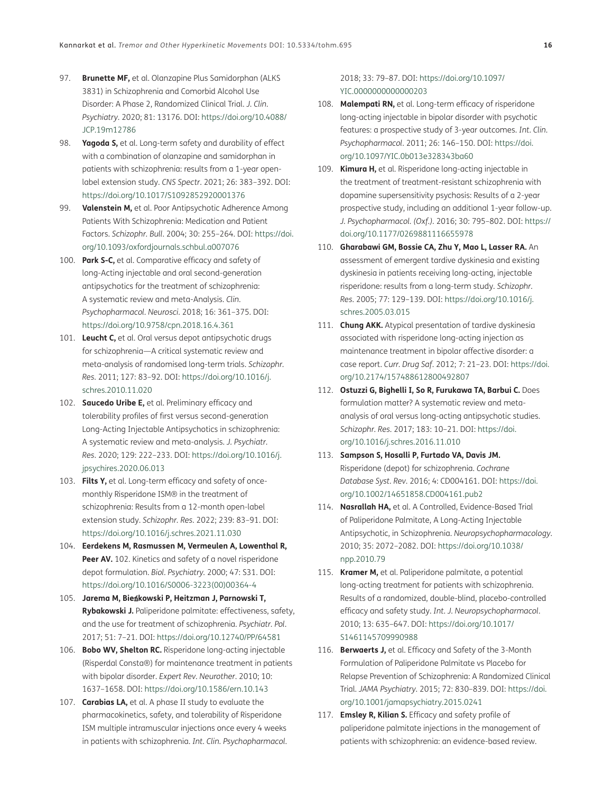- 97. **Brunette MF,** et al. Olanzapine Plus Samidorphan (ALKS 3831) in Schizophrenia and Comorbid Alcohol Use Disorder: A Phase 2, Randomized Clinical Trial. *J. Clin. Psychiatry*. 2020; 81: 13176. DOI: [https://doi.org/10.4088/](https://doi.org/10.4088/JCP.19m12786) [JCP.19m12786](https://doi.org/10.4088/JCP.19m12786)
- <span id="page-15-0"></span>98. **Yagoda S,** et al. Long-term safety and durability of effect with a combination of olanzapine and samidorphan in patients with schizophrenia: results from a 1-year openlabel extension study. *CNS Spectr*. 2021; 26: 383–392. DOI: <https://doi.org/10.1017/S1092852920001376>
- <span id="page-15-1"></span>99. **Valenstein M,** et al. Poor Antipsychotic Adherence Among Patients With Schizophrenia: Medication and Patient Factors. *Schizophr. Bull*. 2004; 30: 255–264. DOI: [https://doi.](https://doi.org/10.1093/oxfordjournals.schbul.a007076) [org/10.1093/oxfordjournals.schbul.a007076](https://doi.org/10.1093/oxfordjournals.schbul.a007076)
- <span id="page-15-2"></span>100. **Park S-C,** et al. Comparative efficacy and safety of long-Acting injectable and oral second-generation antipsychotics for the treatment of schizophrenia: A systematic review and meta-Analysis. *Clin. Psychopharmacol. Neurosci*. 2018; 16: 361–375. DOI: <https://doi.org/10.9758/cpn.2018.16.4.361>
- 101. **Leucht C,** et al. Oral versus depot antipsychotic drugs for schizophrenia—A critical systematic review and meta-analysis of randomised long-term trials. *Schizophr. Res*. 2011; 127: 83–92. DOI: [https://doi.org/10.1016/j.](https://doi.org/10.1016/j.schres.2010.11.020) [schres.2010.11.020](https://doi.org/10.1016/j.schres.2010.11.020)
- <span id="page-15-3"></span>102. **Saucedo Uribe E,** et al. Preliminary efficacy and tolerability profiles of first versus second-generation Long-Acting Injectable Antipsychotics in schizophrenia: A systematic review and meta-analysis. *J. Psychiatr. Res*. 2020; 129: 222–233. DOI: [https://doi.org/10.1016/j.](https://doi.org/10.1016/j.jpsychires.2020.06.013) [jpsychires.2020.06.013](https://doi.org/10.1016/j.jpsychires.2020.06.013)
- <span id="page-15-4"></span>103. **Filts Y,** et al. Long-term efficacy and safety of oncemonthly Risperidone ISM® in the treatment of schizophrenia: Results from a 12-month open-label extension study. *Schizophr. Res*. 2022; 239: 83–91. DOI: <https://doi.org/10.1016/j.schres.2021.11.030>
- <span id="page-15-5"></span>104. **Eerdekens M, Rasmussen M, Vermeulen A, Lowenthal R, Peer AV.** 102. Kinetics and safety of a novel risperidone depot formulation. *Biol. Psychiatry.* 2000; 47: S31. DOI: [https://doi.org/10.1016/S0006-3223\(00\)00364-4](https://doi.org/10.1016/S0006-3223(00)00364-4)
- <span id="page-15-6"></span>105. **Jarema M, Bie**ń**kowski P, Heitzman J, Parnowski T, Rybakowski J.** Paliperidone palmitate: effectiveness, safety, and the use for treatment of schizophrenia. *Psychiatr. Pol*. 2017; 51: 7–21. DOI: <https://doi.org/10.12740/PP/64581>
- <span id="page-15-7"></span>106. **Bobo WV, Shelton RC.** Risperidone long-acting injectable (Risperdal Consta®) for maintenance treatment in patients with bipolar disorder. *Expert Rev. Neurother*. 2010; 10: 1637–1658. DOI:<https://doi.org/10.1586/ern.10.143>
- 107. **Carabias LA,** et al. A phase II study to evaluate the pharmacokinetics, safety, and tolerability of Risperidone ISM multiple intramuscular injections once every 4 weeks in patients with schizophrenia. *Int. Clin. Psychopharmacol*.

2018; 33: 79–87. DOI: [https://doi.org/10.1097/](https://doi.org/10.1097/YIC.0000000000000203) [YIC.0000000000000203](https://doi.org/10.1097/YIC.0000000000000203)

- <span id="page-15-8"></span>108. **Malempati RN,** et al. Long-term efficacy of risperidone long-acting injectable in bipolar disorder with psychotic features: a prospective study of 3-year outcomes. *Int. Clin. Psychopharmacol*. 2011; 26: 146–150. DOI: [https://doi.](https://doi.org/10.1097/YIC.0b013e328343ba60) [org/10.1097/YIC.0b013e328343ba60](https://doi.org/10.1097/YIC.0b013e328343ba60)
- <span id="page-15-9"></span>109. **Kimura H,** et al. Risperidone long-acting injectable in the treatment of treatment-resistant schizophrenia with dopamine supersensitivity psychosis: Results of a 2-year prospective study, including an additional 1-year follow-up. *J. Psychopharmacol. (Oxf.).* 2016; 30: 795–802. DOI: [https://](https://doi.org/10.1177/0269881116655978) [doi.org/10.1177/0269881116655978](https://doi.org/10.1177/0269881116655978)
- <span id="page-15-10"></span>110. **Gharabawi GM, Bossie CA, Zhu Y, Mao L, Lasser RA.** An assessment of emergent tardive dyskinesia and existing dyskinesia in patients receiving long-acting, injectable risperidone: results from a long-term study. *Schizophr. Res*. 2005; 77: 129–139. DOI: [https://doi.org/10.1016/j.](https://doi.org/10.1016/j.schres.2005.03.015) [schres.2005.03.015](https://doi.org/10.1016/j.schres.2005.03.015)
- <span id="page-15-11"></span>111. **Chung AKK.** Atypical presentation of tardive dyskinesia associated with risperidone long-acting injection as maintenance treatment in bipolar affective disorder: a case report. *Curr. Drug Saf*. 2012; 7: 21–23. DOI: [https://doi.](https://doi.org/10.2174/157488612800492807) [org/10.2174/157488612800492807](https://doi.org/10.2174/157488612800492807)
- <span id="page-15-12"></span>112. **Ostuzzi G, Bighelli I, So R, Furukawa TA, Barbui C.** Does formulation matter? A systematic review and metaanalysis of oral versus long-acting antipsychotic studies. *Schizophr. Res*. 2017; 183: 10–21. DOI: [https://doi.](https://doi.org/10.1016/j.schres.2016.11.010) [org/10.1016/j.schres.2016.11.010](https://doi.org/10.1016/j.schres.2016.11.010)
- <span id="page-15-13"></span>113. **Sampson S, Hosalli P, Furtado VA, Davis JM.** Risperidone (depot) for schizophrenia. *Cochrane Database Syst. Rev*. 2016; 4: CD004161. DOI: [https://doi.](https://doi.org/10.1002/14651858.CD004161.pub2) [org/10.1002/14651858.CD004161.pub2](https://doi.org/10.1002/14651858.CD004161.pub2)
- <span id="page-15-14"></span>114. **Nasrallah HA,** et al. A Controlled, Evidence-Based Trial of Paliperidone Palmitate, A Long-Acting Injectable Antipsychotic, in Schizophrenia. *Neuropsychopharmacology*. 2010; 35: 2072–2082. DOI: [https://doi.org/10.1038/](https://doi.org/10.1038/npp.2010.79) [npp.2010.79](https://doi.org/10.1038/npp.2010.79)
- <span id="page-15-15"></span>115. **Kramer M,** et al. Paliperidone palmitate, a potential long-acting treatment for patients with schizophrenia. Results of a randomized, double-blind, placebo-controlled efficacy and safety study. *Int. J. Neuropsychopharmacol*. 2010; 13: 635–647. DOI: [https://doi.org/10.1017/](https://doi.org/10.1017/S1461145709990988) [S1461145709990988](https://doi.org/10.1017/S1461145709990988)
- <span id="page-15-16"></span>116. **Berwaerts J,** et al. Efficacy and Safety of the 3-Month Formulation of Paliperidone Palmitate vs Placebo for Relapse Prevention of Schizophrenia: A Randomized Clinical Trial. *JAMA Psychiatry*. 2015; 72: 830–839. DOI: [https://doi.](https://doi.org/10.1001/jamapsychiatry.2015.0241) [org/10.1001/jamapsychiatry.2015.0241](https://doi.org/10.1001/jamapsychiatry.2015.0241)
- <span id="page-15-17"></span>117. **Emsley R, Kilian S.** Efficacy and safety profile of paliperidone palmitate injections in the management of patients with schizophrenia: an evidence-based review.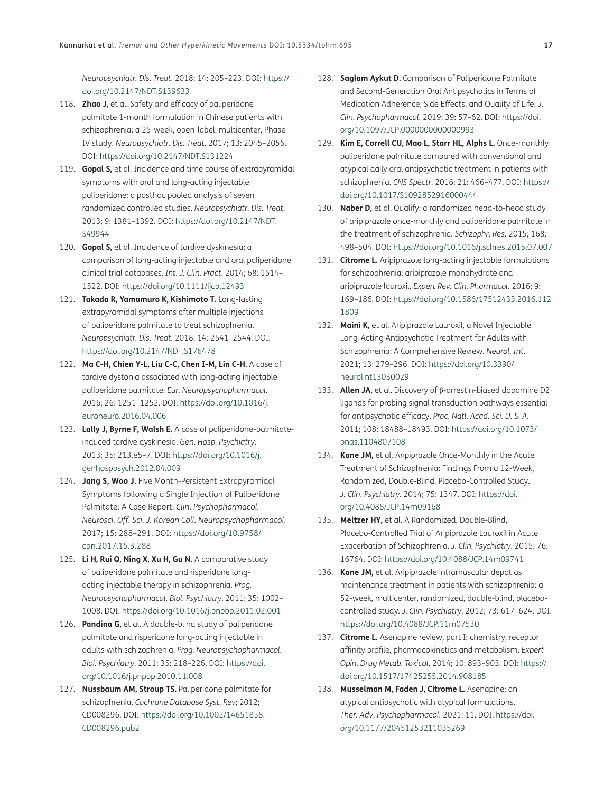*Neuropsychiatr. Dis. Treat*. 2018; 14: 205–223. DOI: [https://](https://doi.org/10.2147/NDT.S139633) [doi.org/10.2147/NDT.S139633](https://doi.org/10.2147/NDT.S139633)

- <span id="page-16-0"></span>118. **Zhao J,** et al. Safety and efficacy of paliperidone palmitate 1-month formulation in Chinese patients with schizophrenia: a 25-week, open-label, multicenter, Phase IV study. *Neuropsychiatr. Dis. Treat*. 2017; 13: 2045–2056. DOI: <https://doi.org/10.2147/NDT.S131224>
- <span id="page-16-1"></span>119. **Gopal S,** et al. Incidence and time course of extrapyramidal symptoms with oral and long-acting injectable paliperidone: a posthoc pooled analysis of seven randomized controlled studies. *Neuropsychiatr. Dis. Treat*. 2013; 9: 1381–1392. DOI: [https://doi.org/10.2147/NDT.](https://doi.org/10.2147/NDT.S49944) [S49944](https://doi.org/10.2147/NDT.S49944)
- <span id="page-16-2"></span>120. **Gopal S,** et al. Incidence of tardive dyskinesia: a comparison of long-acting injectable and oral paliperidone clinical trial databases. *Int. J. Clin. Pract*. 2014; 68: 1514– 1522. DOI:<https://doi.org/10.1111/ijcp.12493>
- <span id="page-16-3"></span>121. **Takada R, Yamamuro K, Kishimoto T.** Long-lasting extrapyramidal symptoms after multiple injections of paliperidone palmitate to treat schizophrenia. *Neuropsychiatr. Dis. Treat*. 2018; 14: 2541–2544. DOI: <https://doi.org/10.2147/NDT.S176478>
- <span id="page-16-4"></span>122. **Ma C-H, Chien Y-L, Liu C-C, Chen I-M, Lin C-H.** A case of tardive dystonia associated with long-acting injectable paliperidone palmitate. *Eur. Neuropsychopharmacol*. 2016; 26: 1251–1252. DOI: [https://doi.org/10.1016/j.](https://doi.org/10.1016/j.euroneuro.2016.04.006) [euroneuro.2016.04.006](https://doi.org/10.1016/j.euroneuro.2016.04.006)
- 123. **Lally J, Byrne F, Walsh E.** A case of paliperidone-palmitateinduced tardive dyskinesia. *Gen. Hosp. Psychiatry*. 2013; 35: 213.e5–7. DOI: [https://doi.org/10.1016/j.](https://doi.org/10.1016/j.genhosppsych.2012.04.009) [genhosppsych.2012.04.009](https://doi.org/10.1016/j.genhosppsych.2012.04.009)
- <span id="page-16-5"></span>124. **Jang S, Woo J.** Five Month-Persistent Extrapyramidal Symptoms following a Single Injection of Paliperidone Palmitate: A Case Report. *Clin. Psychopharmacol. Neurosci. Off. Sci. J. Korean Coll. Neuropsychopharmacol*. 2017; 15: 288–291. DOI: [https://doi.org/10.9758/](https://doi.org/10.9758/cpn.2017.15.3.288) [cpn.2017.15.3.288](https://doi.org/10.9758/cpn.2017.15.3.288)
- <span id="page-16-6"></span>125. **Li H, Rui Q, Ning X, Xu H, Gu N.** A comparative study of paliperidone palmitate and risperidone longacting injectable therapy in schizophrenia. *Prog. Neuropsychopharmacol. Biol. Psychiatry*. 2011; 35: 1002– 1008. DOI:<https://doi.org/10.1016/j.pnpbp.2011.02.001>
- <span id="page-16-7"></span>126. **Pandina G,** et al. A double-blind study of paliperidone palmitate and risperidone long-acting injectable in adults with schizophrenia. *Prog. Neuropsychopharmacol. Biol. Psychiatry*. 2011; 35: 218–226. DOI: [https://doi.](https://doi.org/10.1016/j.pnpbp.2010.11.008) [org/10.1016/j.pnpbp.2010.11.008](https://doi.org/10.1016/j.pnpbp.2010.11.008)
- <span id="page-16-8"></span>127. **Nussbaum AM, Stroup TS.** Paliperidone palmitate for schizophrenia. *Cochrane Database Syst. Rev*; 2012; CD008296. DOI: [https://doi.org/10.1002/14651858.](https://doi.org/10.1002/14651858.CD008296.pub2) [CD008296.pub2](https://doi.org/10.1002/14651858.CD008296.pub2)
- <span id="page-16-9"></span>128. **Saglam Aykut D.** Comparison of Paliperidone Palmitate and Second-Generation Oral Antipsychotics in Terms of Medication Adherence, Side Effects, and Quality of Life. *J. Clin. Psychopharmacol*. 2019; 39: 57–62. DOI: [https://doi.](https://doi.org/10.1097/JCP.0000000000000993) [org/10.1097/JCP.0000000000000993](https://doi.org/10.1097/JCP.0000000000000993)
- <span id="page-16-10"></span>129. **Kim E, Correll CU, Mao L, Starr HL, Alphs L.** Once-monthly paliperidone palmitate compared with conventional and atypical daily oral antipsychotic treatment in patients with schizophrenia. *CNS Spectr*. 2016; 21: 466–477. DOI: [https://](https://doi.org/10.1017/S1092852916000444) [doi.org/10.1017/S1092852916000444](https://doi.org/10.1017/S1092852916000444)
- <span id="page-16-11"></span>130. **Naber D,** et al. Qualify: a randomized head-to-head study of aripiprazole once-monthly and paliperidone palmitate in the treatment of schizophrenia. *Schizophr. Res*. 2015; 168: 498–504. DOI:<https://doi.org/10.1016/j.schres.2015.07.007>
- <span id="page-16-12"></span>131. **Citrome L.** Aripiprazole long-acting injectable formulations for schizophrenia: aripiprazole monohydrate and aripiprazole lauroxil. *Expert Rev. Clin. Pharmacol*. 2016; 9: 169–186. DOI: [https://doi.org/10.1586/17512433.2016.112](https://doi.org/10.1586/17512433.2016.1121809) [1809](https://doi.org/10.1586/17512433.2016.1121809)
- <span id="page-16-13"></span>132. **Maini K,** et al. Aripiprazole Lauroxil, a Novel Injectable Long-Acting Antipsychotic Treatment for Adults with Schizophrenia: A Comprehensive Review. *Neurol. Int*. 2021; 13: 279–296. DOI: [https://doi.org/10.3390/](https://doi.org/10.3390/neurolint13030029) [neurolint13030029](https://doi.org/10.3390/neurolint13030029)
- <span id="page-16-14"></span>133. **Allen JA,** et al. Discovery of β-arrestin-biased dopamine D2 ligands for probing signal transduction pathways essential for antipsychotic efficacy. *Proc. Natl. Acad. Sci. U. S. A*. 2011; 108: 18488–18493. DOI: [https://doi.org/10.1073/](https://doi.org/10.1073/pnas.1104807108) [pnas.1104807108](https://doi.org/10.1073/pnas.1104807108)
- <span id="page-16-15"></span>134. **Kane JM,** et al. Aripiprazole Once-Monthly in the Acute Treatment of Schizophrenia: Findings From a 12-Week, Randomized, Double-Blind, Placebo-Controlled Study. *J. Clin. Psychiatry*. 2014; 75: 1347. DOI: [https://doi.](https://doi.org/10.4088/JCP.14m09168) [org/10.4088/JCP.14m09168](https://doi.org/10.4088/JCP.14m09168)
- <span id="page-16-16"></span>135. **Meltzer HY,** et al. A Randomized, Double-Blind, Placebo-Controlled Trial of Aripiprazole Lauroxil in Acute Exacerbation of Schizophrenia. *J. Clin. Psychiatry*. 2015; 76: 16764. DOI:<https://doi.org/10.4088/JCP.14m09741>
- <span id="page-16-17"></span>136. **Kane JM,** et al. Aripiprazole intramuscular depot as maintenance treatment in patients with schizophrenia: a 52-week, multicenter, randomized, double-blind, placebocontrolled study. *J. Clin. Psychiatry*. 2012; 73: 617–624. DOI: <https://doi.org/10.4088/JCP.11m07530>
- <span id="page-16-18"></span>137. **Citrome L.** Asenapine review, part I: chemistry, receptor affinity profile, pharmacokinetics and metabolism. *Expert Opin. Drug Metab. Toxicol*. 2014; 10: 893–903. DOI: [https://](https://doi.org/10.1517/17425255.2014.908185) [doi.org/10.1517/17425255.2014.908185](https://doi.org/10.1517/17425255.2014.908185)
- <span id="page-16-19"></span>138. **Musselman M, Faden J, Citrome L.** Asenapine: an atypical antipsychotic with atypical formulations. *Ther. Adv. Psychopharmacol*. 2021; 11. DOI: [https://doi.](https://doi.org/10.1177/20451253211035269) [org/10.1177/20451253211035269](https://doi.org/10.1177/20451253211035269)